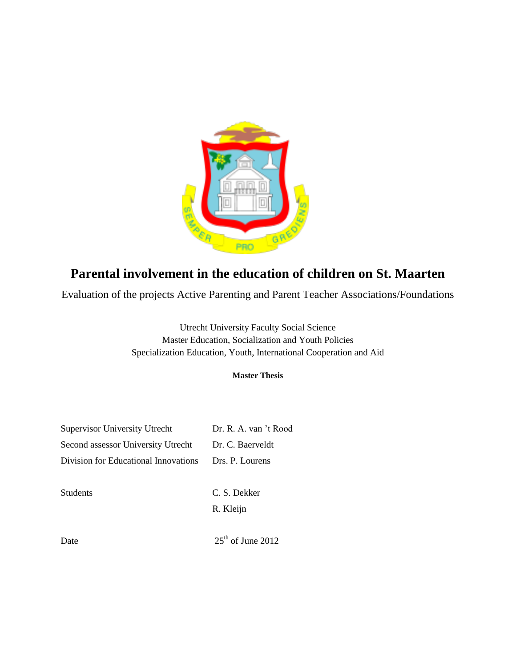

# **Parental involvement in the education of children on St. Maarten**

Evaluation of the projects Active Parenting and Parent Teacher Associations/Foundations

Utrecht University Faculty Social Science Master Education, Socialization and Youth Policies Specialization Education, Youth, International Cooperation and Aid

# **Master Thesis**

| <b>Supervisor University Utrecht</b> | Dr. R. A. van 't Rood |
|--------------------------------------|-----------------------|
| Second assessor University Utrecht   | Dr. C. Baerveldt      |
| Division for Educational Innovations | Drs. P. Lourens       |
|                                      |                       |
| <b>Students</b>                      | C. S. Dekker          |
|                                      |                       |

R. Kleijn

Date  $25<sup>th</sup>$  of June 2012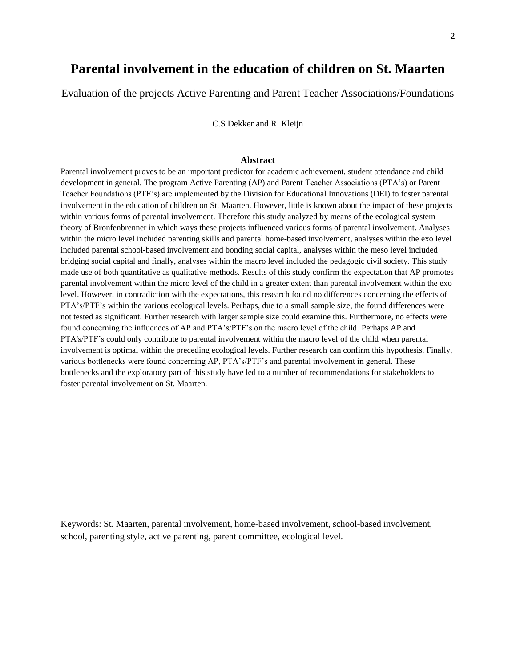# **Parental involvement in the education of children on St. Maarten**

Evaluation of the projects Active Parenting and Parent Teacher Associations/Foundations

C.S Dekker and R. Kleijn

#### **Abstract**

Parental involvement proves to be an important predictor for academic achievement, student attendance and child development in general. The program Active Parenting (AP) and Parent Teacher Associations (PTA's) or Parent Teacher Foundations (PTF's) are implemented by the Division for Educational Innovations (DEI) to foster parental involvement in the education of children on St. Maarten. However, little is known about the impact of these projects within various forms of parental involvement. Therefore this study analyzed by means of the ecological system theory of Bronfenbrenner in which ways these projects influenced various forms of parental involvement. Analyses within the micro level included parenting skills and parental home-based involvement, analyses within the exo level included parental school-based involvement and bonding social capital, analyses within the meso level included bridging social capital and finally, analyses within the macro level included the pedagogic civil society. This study made use of both quantitative as qualitative methods. Results of this study confirm the expectation that AP promotes parental involvement within the micro level of the child in a greater extent than parental involvement within the exo level. However, in contradiction with the expectations, this research found no differences concerning the effects of PTA's/PTF's within the various ecological levels. Perhaps, due to a small sample size, the found differences were not tested as significant. Further research with larger sample size could examine this. Furthermore, no effects were found concerning the influences of AP and PTA's/PTF's on the macro level of the child. Perhaps AP and PTA's/PTF's could only contribute to parental involvement within the macro level of the child when parental involvement is optimal within the preceding ecological levels. Further research can confirm this hypothesis. Finally, various bottlenecks were found concerning AP, PTA's/PTF's and parental involvement in general. These bottlenecks and the exploratory part of this study have led to a number of recommendations for stakeholders to foster parental involvement on St. Maarten.

Keywords: St. Maarten, parental involvement, home-based involvement, school-based involvement, school, parenting style, active parenting, parent committee, ecological level.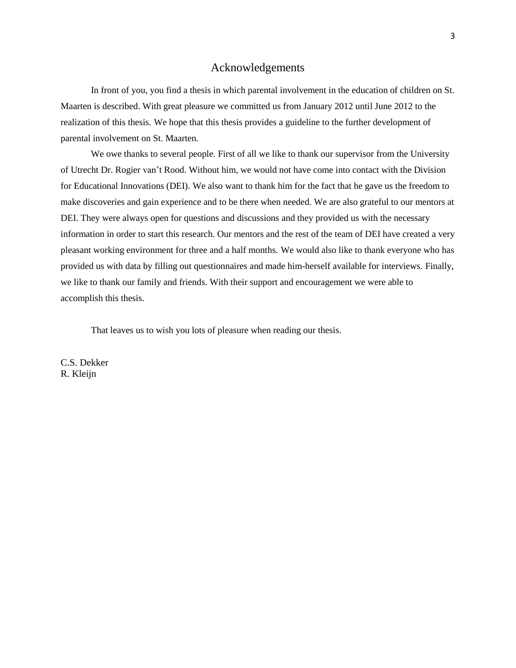# Acknowledgements

In front of you, you find a thesis in which parental involvement in the education of children on St. Maarten is described. With great pleasure we committed us from January 2012 until June 2012 to the realization of this thesis. We hope that this thesis provides a guideline to the further development of parental involvement on St. Maarten.

We owe thanks to several people. First of all we like to thank our supervisor from the University of Utrecht Dr. Rogier van't Rood. Without him, we would not have come into contact with the Division for Educational Innovations (DEI). We also want to thank him for the fact that he gave us the freedom to make discoveries and gain experience and to be there when needed. We are also grateful to our mentors at DEI. They were always open for questions and discussions and they provided us with the necessary information in order to start this research. Our mentors and the rest of the team of DEI have created a very pleasant working environment for three and a half months. We would also like to thank everyone who has provided us with data by filling out questionnaires and made him-herself available for interviews. Finally, we like to thank our family and friends. With their support and encouragement we were able to accomplish this thesis.

That leaves us to wish you lots of pleasure when reading our thesis.

C.S. Dekker R. Kleijn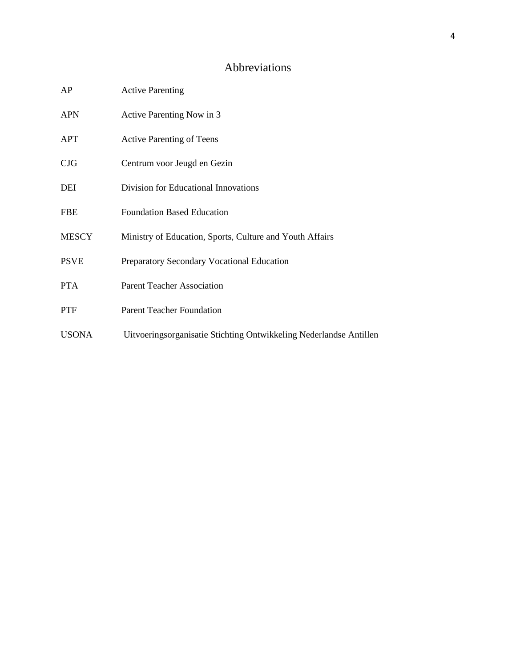# Abbreviations

| AP           | <b>Active Parenting</b>                                            |
|--------------|--------------------------------------------------------------------|
| <b>APN</b>   | Active Parenting Now in 3                                          |
| <b>APT</b>   | <b>Active Parenting of Teens</b>                                   |
| CJG          | Centrum voor Jeugd en Gezin                                        |
| DEI          | Division for Educational Innovations                               |
| <b>FBE</b>   | <b>Foundation Based Education</b>                                  |
| <b>MESCY</b> | Ministry of Education, Sports, Culture and Youth Affairs           |
| <b>PSVE</b>  | Preparatory Secondary Vocational Education                         |
| <b>PTA</b>   | <b>Parent Teacher Association</b>                                  |
| <b>PTF</b>   | <b>Parent Teacher Foundation</b>                                   |
| <b>USONA</b> | Uitvoeringsorganisatie Stichting Ontwikkeling Nederlandse Antillen |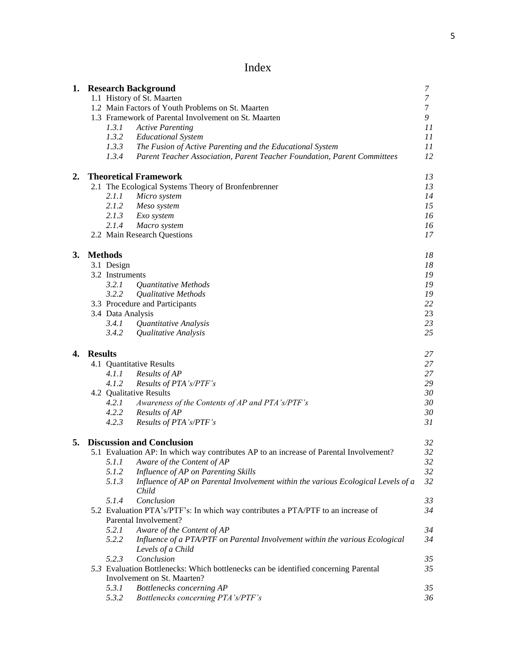# Index

|    |                |                   | 1. Research Background                                                                     | 7              |
|----|----------------|-------------------|--------------------------------------------------------------------------------------------|----------------|
|    |                |                   | 1.1 History of St. Maarten                                                                 | $\overline{7}$ |
|    |                |                   | 1.2 Main Factors of Youth Problems on St. Maarten                                          | $\tau$         |
|    |                |                   | 1.3 Framework of Parental Involvement on St. Maarten                                       | 9              |
|    |                | 1.3.1             | <b>Active Parenting</b>                                                                    | 11             |
|    |                | 1.3.2             | <b>Educational System</b>                                                                  | 11             |
|    |                | 1.3.3             | The Fusion of Active Parenting and the Educational System                                  | 11             |
|    |                | 1.3.4             | Parent Teacher Association, Parent Teacher Foundation, Parent Committees                   | 12             |
| 2. |                |                   | <b>Theoretical Framework</b>                                                               | 13             |
|    |                |                   | 2.1 The Ecological Systems Theory of Bronfenbrenner                                        | 13             |
|    |                | 2.1.1             | Micro system                                                                               | 14             |
|    |                | 2.1.2             | Meso system                                                                                | 15             |
|    |                | 2.1.3             | Exo system                                                                                 | 16             |
|    |                | 2.1.4             | Macro system                                                                               | 16             |
|    |                |                   | 2.2 Main Research Questions                                                                | 17             |
| 3. |                | <b>Methods</b>    |                                                                                            | 18             |
|    |                | 3.1 Design        |                                                                                            | 18             |
|    |                | 3.2 Instruments   |                                                                                            | 19             |
|    |                | 3.2.1             | Quantitative Methods                                                                       | 19             |
|    |                | 3.2.2             | Qualitative Methods                                                                        | 19             |
|    |                |                   | 3.3 Procedure and Participants                                                             | 22             |
|    |                | 3.4 Data Analysis |                                                                                            | 23             |
|    |                | 3.4.1             | Quantitative Analysis                                                                      | 23             |
|    |                | 3.4.2             | Qualitative Analysis                                                                       | 25             |
| 4. | <b>Results</b> |                   |                                                                                            | 27             |
|    |                |                   | 4.1 Quantitative Results                                                                   | 27             |
|    |                | 4.1.1             | Results of AP                                                                              | 27             |
|    |                | 4.1.2             | Results of PTA's/PTF's                                                                     | 29             |
|    |                |                   | 4.2 Qualitative Results                                                                    | 30             |
|    |                | 4.2.1             | Awareness of the Contents of AP and PTA's/PTF's                                            | 30             |
|    |                | 4.2.2             | Results of AP                                                                              | 30             |
|    |                | 4.2.3             | Results of PTA's/PTF's                                                                     | 31             |
| 5. |                |                   | <b>Discussion and Conclusion</b>                                                           | 32             |
|    |                |                   | 5.1 Evaluation AP: In which way contributes AP to an increase of Parental Involvement?     | 32             |
|    |                |                   | 5.1.1 Aware of the Content of AP                                                           | $32\,$         |
|    |                | 5.1.2             | Influence of AP on Parenting Skills                                                        | 32             |
|    |                | 5.1.3             | Influence of AP on Parental Involvement within the various Ecological Levels of a<br>Child | 32             |
|    |                | 5.1.4             | Conclusion                                                                                 | 33             |
|    |                |                   | 5.2 Evaluation PTA's/PTF's: In which way contributes a PTA/PTF to an increase of           | 34             |
|    |                |                   | Parental Involvement?                                                                      |                |
|    |                | 5.2.1             | Aware of the Content of AP                                                                 | 34             |
|    |                | 5.2.2             | Influence of a PTA/PTF on Parental Involvement within the various Ecological               | 34             |
|    |                |                   | Levels of a Child                                                                          |                |
|    |                | 5.2.3             | Conclusion                                                                                 | 35             |
|    |                |                   | 5.3 Evaluation Bottlenecks: Which bottlenecks can be identified concerning Parental        | 35             |
|    |                |                   | Involvement on St. Maarten?                                                                |                |
|    |                | 5.3.1             | Bottlenecks concerning AP                                                                  | 35             |
|    |                | 5.3.2             | Bottlenecks concerning PTA's/PTF's                                                         | 36             |
|    |                |                   |                                                                                            |                |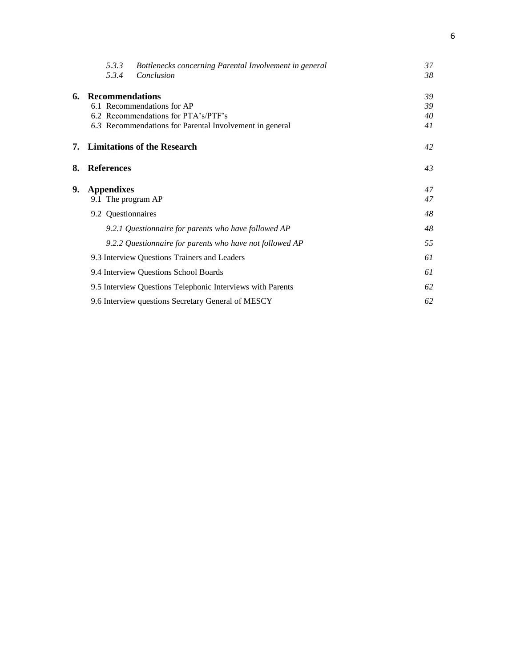|    | 5.3.3<br>5.3.4                          | Bottlenecks concerning Parental Involvement in general<br>Conclusion                                                         | 37<br>38             |
|----|-----------------------------------------|------------------------------------------------------------------------------------------------------------------------------|----------------------|
| 6. | <b>Recommendations</b>                  | 6.1 Recommendations for AP<br>6.2 Recommendations for PTA's/PTF's<br>6.3 Recommendations for Parental Involvement in general | 39<br>39<br>40<br>41 |
|    |                                         | 7. Limitations of the Research                                                                                               | 42                   |
| 8. | <b>References</b>                       |                                                                                                                              | 43                   |
| 9. | <b>Appendixes</b><br>9.1 The program AP |                                                                                                                              | 47<br>47             |
|    | 9.2 Questionnaires                      |                                                                                                                              | 48                   |
|    |                                         | 9.2.1 Questionnaire for parents who have followed AP                                                                         | 48                   |
|    |                                         | 9.2.2 Questionnaire for parents who have not followed AP                                                                     | 55                   |
|    |                                         | 9.3 Interview Questions Trainers and Leaders                                                                                 | 61                   |
|    |                                         | 9.4 Interview Questions School Boards                                                                                        | 61                   |
|    |                                         | 9.5 Interview Questions Telephonic Interviews with Parents                                                                   | 62                   |
|    |                                         | 9.6 Interview questions Secretary General of MESCY                                                                           | 62                   |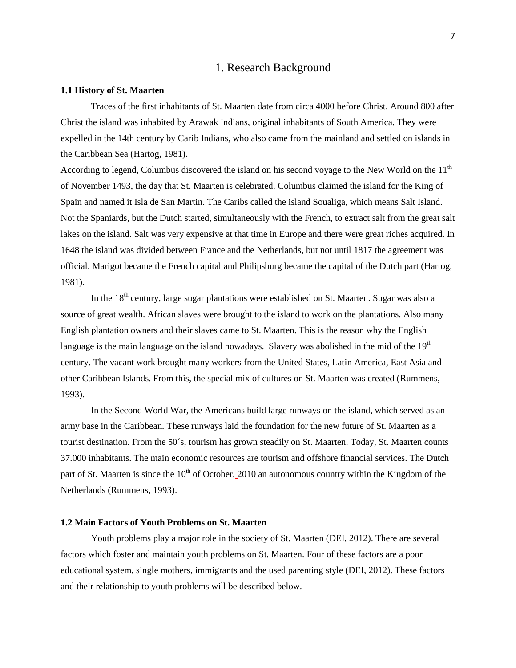# 1. Research Background

#### **1.1 History of St. Maarten**

Traces of the first inhabitants of St. Maarten date from circa 4000 before Christ. Around 800 after Christ the island was inhabited by Arawak Indians, original inhabitants of South America. They were expelled in the 14th century by Carib Indians, who also came from the mainland and settled on islands in the Caribbean Sea (Hartog, 1981).

According to legend, Columbus discovered the island on his second voyage to the New World on the  $11<sup>th</sup>$ of November 1493, the day that St. Maarten is celebrated. Columbus claimed the island for the King of Spain and named it Isla de San Martin. The Caribs called the island Soualiga, which means Salt Island. Not the Spaniards, but the Dutch started, simultaneously with the French, to extract salt from the great salt lakes on the island. Salt was very expensive at that time in Europe and there were great riches acquired. In 1648 the island was divided between France and the Netherlands, but not until 1817 the agreement was official. Marigot became the French capital and Philipsburg became the capital of the Dutch part (Hartog, 1981).

In the  $18<sup>th</sup>$  century, large sugar plantations were established on St. Maarten. Sugar was also a source of great wealth. African slaves were brought to the island to work on the plantations. Also many English plantation owners and their slaves came to St. Maarten. This is the reason why the English language is the main language on the island nowadays. Slavery was abolished in the mid of the  $19<sup>th</sup>$ century. The vacant work brought many workers from the United States, Latin America, East Asia and other Caribbean Islands. From this, the special mix of cultures on St. Maarten was created (Rummens, 1993).

In the Second World War, the Americans build large runways on the island, which served as an army base in the Caribbean. These runways laid the foundation for the new future of St. Maarten as a tourist destination. From the 50´s, tourism has grown steadily on St. Maarten. Today, St. Maarten counts 37.000 inhabitants. The main economic resources are tourism and offshore financial services. The Dutch part of St. Maarten is since the  $10<sup>th</sup>$  of October, 2010 an autonomous country within the Kingdom of the Netherlands (Rummens, 1993).

# **1.2 Main Factors of Youth Problems on St. Maarten**

Youth problems play a major role in the society of St. Maarten (DEI, 2012). There are several factors which foster and maintain youth problems on St. Maarten. Four of these factors are a poor educational system, single mothers, immigrants and the used parenting style (DEI, 2012). These factors and their relationship to youth problems will be described below.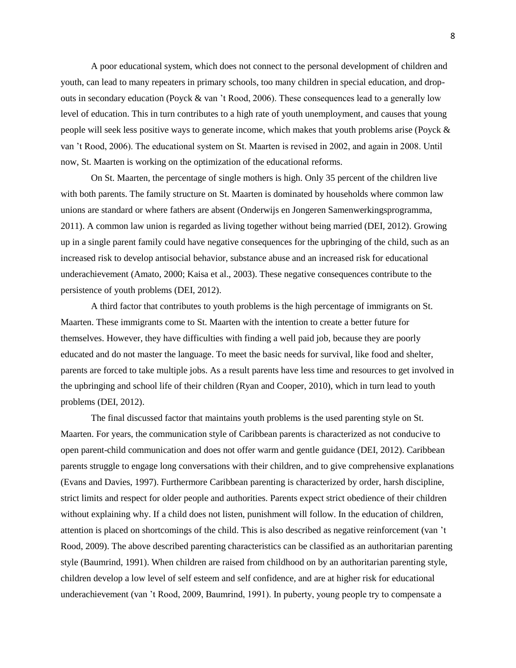A poor educational system, which does not connect to the personal development of children and youth, can lead to many repeaters in primary schools, too many children in special education, and dropouts in secondary education (Poyck & van 't Rood, 2006). These consequences lead to a generally low level of education. This in turn contributes to a high rate of youth unemployment, and causes that young people will seek less positive ways to generate income, which makes that youth problems arise (Poyck & van 't Rood, 2006). The educational system on St. Maarten is revised in 2002, and again in 2008. Until now, St. Maarten is working on the optimization of the educational reforms.

On St. Maarten, the percentage of single mothers is high. Only 35 percent of the children live with both parents. The family structure on St. Maarten is dominated by households where common law unions are standard or where fathers are absent (Onderwijs en Jongeren Samenwerkingsprogramma, 2011). A common law union is regarded as living together without being married (DEI, 2012). Growing up in a single parent family could have negative consequences for the upbringing of the child, such as an increased risk to develop antisocial behavior, substance abuse and an increased risk for educational underachievement (Amato, 2000; Kaisa et al., 2003). These negative consequences contribute to the persistence of youth problems (DEI, 2012).

A third factor that contributes to youth problems is the high percentage of immigrants on St. Maarten. These immigrants come to St. Maarten with the intention to create a better future for themselves. However, they have difficulties with finding a well paid job, because they are poorly educated and do not master the language. To meet the basic needs for survival, like food and shelter, parents are forced to take multiple jobs. As a result parents have less time and resources to get involved in the upbringing and school life of their children (Ryan and Cooper, 2010), which in turn lead to youth problems (DEI, 2012).

The final discussed factor that maintains youth problems is the used parenting style on St. Maarten. For years, the communication style of Caribbean parents is characterized as not conducive to open parent-child communication and does not offer warm and gentle guidance (DEI, 2012). Caribbean parents struggle to engage long conversations with their children, and to give comprehensive explanations (Evans and Davies, 1997). Furthermore Caribbean parenting is characterized by order, harsh discipline, strict limits and respect for older people and authorities. Parents expect strict obedience of their children without explaining why. If a child does not listen, punishment will follow. In the education of children, attention is placed on shortcomings of the child. This is also described as negative reinforcement (van 't Rood, 2009). The above described parenting characteristics can be classified as an authoritarian parenting style (Baumrind, 1991). When children are raised from childhood on by an authoritarian parenting style, children develop a low level of self esteem and self confidence, and are at higher risk for educational underachievement (van 't Rood, 2009, Baumrind, 1991). In puberty, young people try to compensate a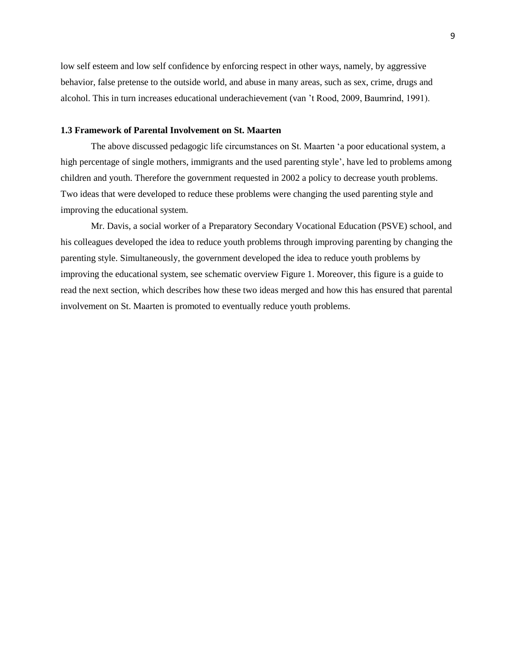low self esteem and low self confidence by enforcing respect in other ways, namely, by aggressive behavior, false pretense to the outside world, and abuse in many areas, such as sex, crime, drugs and alcohol. This in turn increases educational underachievement (van 't Rood, 2009, Baumrind, 1991).

# **1.3 Framework of Parental Involvement on St. Maarten**

The above discussed pedagogic life circumstances on St. Maarten 'a poor educational system, a high percentage of single mothers, immigrants and the used parenting style', have led to problems among children and youth. Therefore the government requested in 2002 a policy to decrease youth problems. Two ideas that were developed to reduce these problems were changing the used parenting style and improving the educational system.

Mr. Davis, a social worker of a Preparatory Secondary Vocational Education (PSVE) school, and his colleagues developed the idea to reduce youth problems through improving parenting by changing the parenting style. Simultaneously, the government developed the idea to reduce youth problems by improving the educational system, see schematic overview Figure 1. Moreover, this figure is a guide to read the next section, which describes how these two ideas merged and how this has ensured that parental involvement on St. Maarten is promoted to eventually reduce youth problems.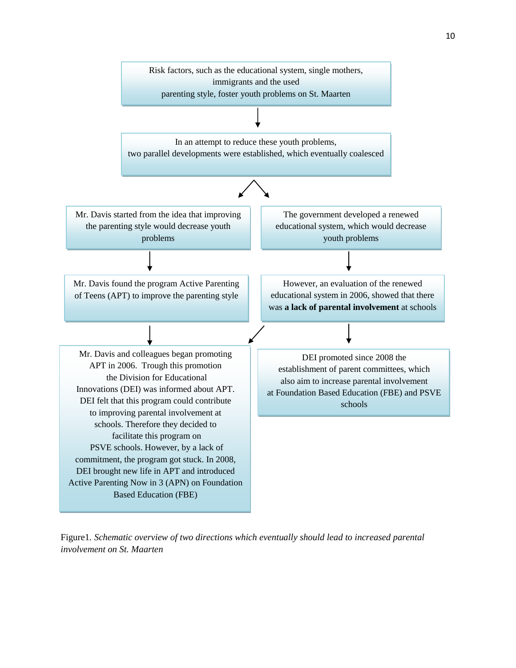

Figure1*. Schematic overview of two directions which eventually should lead to increased parental involvement on St. Maarten*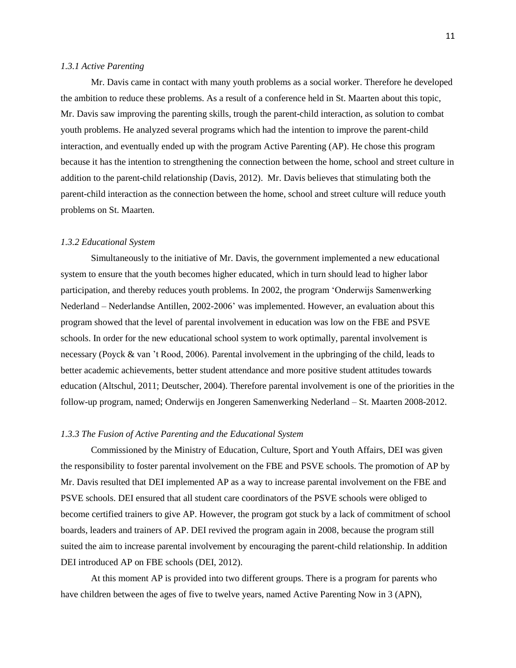### *1.3.1 Active Parenting*

Mr. Davis came in contact with many youth problems as a social worker. Therefore he developed the ambition to reduce these problems. As a result of a conference held in St. Maarten about this topic, Mr. Davis saw improving the parenting skills, trough the parent-child interaction, as solution to combat youth problems. He analyzed several programs which had the intention to improve the parent-child interaction, and eventually ended up with the program Active Parenting (AP). He chose this program because it has the intention to strengthening the connection between the home, school and street culture in addition to the parent-child relationship (Davis, 2012). Mr. Davis believes that stimulating both the parent-child interaction as the connection between the home, school and street culture will reduce youth problems on St. Maarten.

### *1.3.2 Educational System*

Simultaneously to the initiative of Mr. Davis, the government implemented a new educational system to ensure that the youth becomes higher educated, which in turn should lead to higher labor participation, and thereby reduces youth problems. In 2002, the program 'Onderwijs Samenwerking Nederland – Nederlandse Antillen, 2002-2006' was implemented. However, an evaluation about this program showed that the level of parental involvement in education was low on the FBE and PSVE schools. In order for the new educational school system to work optimally, parental involvement is necessary (Poyck & van 't Rood, 2006). Parental involvement in the upbringing of the child, leads to better academic achievements, better student attendance and more positive student attitudes towards education (Altschul, 2011; Deutscher, 2004). Therefore parental involvement is one of the priorities in the follow-up program, named; Onderwijs en Jongeren Samenwerking Nederland – St. Maarten 2008-2012.

#### *1.3.3 The Fusion of Active Parenting and the Educational System*

Commissioned by the Ministry of Education, Culture, Sport and Youth Affairs, DEI was given the responsibility to foster parental involvement on the FBE and PSVE schools. The promotion of AP by Mr. Davis resulted that DEI implemented AP as a way to increase parental involvement on the FBE and PSVE schools. DEI ensured that all student care coordinators of the PSVE schools were obliged to become certified trainers to give AP. However, the program got stuck by a lack of commitment of school boards, leaders and trainers of AP. DEI revived the program again in 2008, because the program still suited the aim to increase parental involvement by encouraging the parent-child relationship. In addition DEI introduced AP on FBE schools (DEI, 2012).

At this moment AP is provided into two different groups. There is a program for parents who have children between the ages of five to twelve years, named Active Parenting Now in 3 (APN),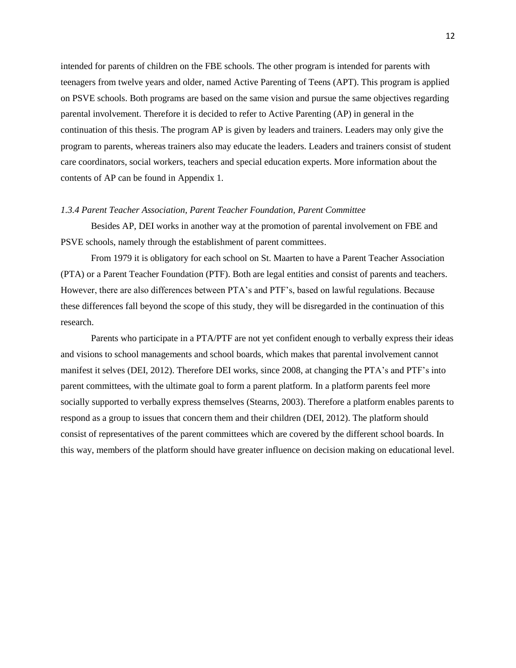intended for parents of children on the FBE schools. The other program is intended for parents with teenagers from twelve years and older, named Active Parenting of Teens (APT). This program is applied on PSVE schools. Both programs are based on the same vision and pursue the same objectives regarding parental involvement. Therefore it is decided to refer to Active Parenting (AP) in general in the continuation of this thesis. The program AP is given by leaders and trainers. Leaders may only give the program to parents, whereas trainers also may educate the leaders. Leaders and trainers consist of student care coordinators, social workers, teachers and special education experts. More information about the contents of AP can be found in Appendix 1.

### *1.3.4 Parent Teacher Association, Parent Teacher Foundation, Parent Committee*

Besides AP, DEI works in another way at the promotion of parental involvement on FBE and PSVE schools, namely through the establishment of parent committees.

From 1979 it is obligatory for each school on St. Maarten to have a Parent Teacher Association (PTA) or a Parent Teacher Foundation (PTF). Both are legal entities and consist of parents and teachers. However, there are also differences between PTA's and PTF's, based on lawful regulations. Because these differences fall beyond the scope of this study, they will be disregarded in the continuation of this research.

Parents who participate in a PTA/PTF are not yet confident enough to verbally express their ideas and visions to school managements and school boards, which makes that parental involvement cannot manifest it selves (DEI, 2012). Therefore DEI works, since 2008, at changing the PTA's and PTF's into parent committees, with the ultimate goal to form a parent platform. In a platform parents feel more socially supported to verbally express themselves (Stearns, 2003). Therefore a platform enables parents to respond as a group to issues that concern them and their children (DEI, 2012). The platform should consist of representatives of the parent committees which are covered by the different school boards. In this way, members of the platform should have greater influence on decision making on educational level.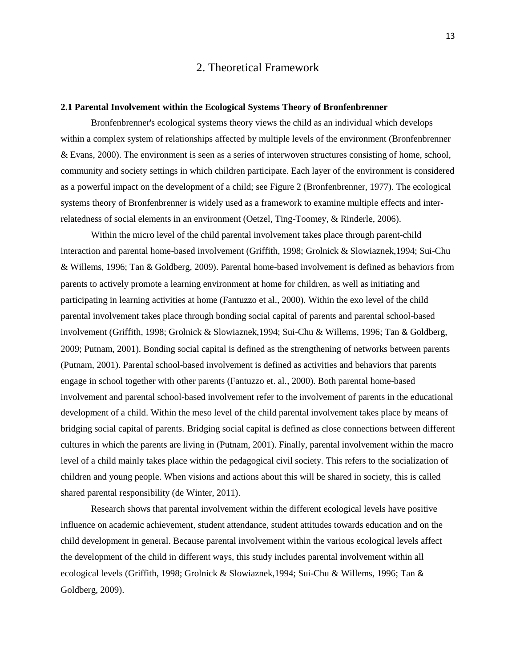# 2. Theoretical Framework

### **2.1 Parental Involvement within the Ecological Systems Theory of Bronfenbrenner**

Bronfenbrenner's ecological systems theory views the child as an individual which develops within a complex system of relationships affected by multiple levels of the environment (Bronfenbrenner & Evans, 2000). The environment is seen as a series of interwoven structures consisting of home, school, community and society settings in which children participate. Each layer of the environment is considered as a powerful impact on the development of a child; see Figure 2 (Bronfenbrenner, 1977). The ecological systems theory of Bronfenbrenner is widely used as a framework to examine multiple effects and interrelatedness of social elements in an environment (Oetzel, Ting-Toomey, & Rinderle, 2006).

Within the micro level of the child parental involvement takes place through parent-child interaction and parental home-based involvement (Griffith, 1998; Grolnick & Slowiaznek,1994; Sui-Chu & Willems, 1996; [Tan](javascript:registerClick() & [Goldberg, 2](javascript:registerClick()009). Parental home-based involvement is defined as behaviors from parents to actively promote a learning environment at home for children, as well as initiating and participating in learning activities at home (Fantuzzo et al., 2000). Within the exo level of the child parental involvement takes place through bonding social capital of parents and parental school-based involvement (Griffith, 1998; Grolnick & Slowiaznek,1994; Sui-Chu & Willems, 1996; [Tan](javascript:registerClick() & [Goldberg,](javascript:registerClick()  2009; Putnam, 2001). Bonding social capital is defined as the strengthening of networks between parents (Putnam, 2001). Parental school-based involvement is defined as activities and behaviors that parents engage in school together with other parents (Fantuzzo et. al., 2000). Both parental home-based involvement and parental school-based involvement refer to the involvement of parents in the educational development of a child. Within the meso level of the child parental involvement takes place by means of bridging social capital of parents. Bridging social capital is defined as close connections between different cultures in which the parents are living in (Putnam, 2001). Finally, parental involvement within the macro level of a child mainly takes place within the pedagogical civil society. This refers to the socialization of children and young people. When visions and actions about this will be shared in society, this is called shared parental responsibility (de Winter, 2011).

Research shows that parental involvement within the different ecological levels have positive influence on academic achievement, student attendance, student attitudes towards education and on the child development in general. Because parental involvement within the various ecological levels affect the development of the child in different ways, this study includes parental involvement within all ecological levels (Griffith, 1998; Grolnick & Slowiaznek,1994; Sui-Chu & Willems, 1996; [Tan](javascript:registerClick() & [Goldberg, 2](javascript:registerClick()009).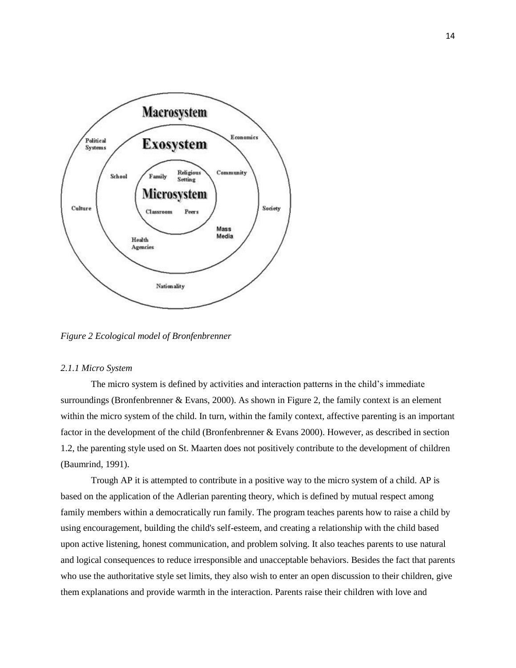

*Figure 2 Ecological model of Bronfenbrenner*

# *2.1.1 Micro System*

The micro system is defined by activities and interaction patterns in the child's immediate surroundings (Bronfenbrenner & Evans, 2000). As shown in Figure 2, the family context is an element within the micro system of the child. In turn, within the family context, affective parenting is an important factor in the development of the child (Bronfenbrenner & Evans 2000). However, as described in section 1.2, the parenting style used on St. Maarten does not positively contribute to the development of children (Baumrind, 1991).

Trough AP it is attempted to contribute in a positive way to the micro system of a child. AP is based on the application of the Adlerian parenting theory, which is defined by mutual respect among family members within a democratically run family. The program teaches parents how to raise a child by using encouragement, building the child's self-esteem, and creating a relationship with the child based upon active listening, honest communication, and problem solving. It also teaches parents to use natural and logical consequences to reduce irresponsible and unacceptable behaviors. Besides the fact that parents who use the authoritative style set limits, they also wish to enter an open discussion to their children, give them explanations and provide warmth in the interaction. Parents raise their children with love and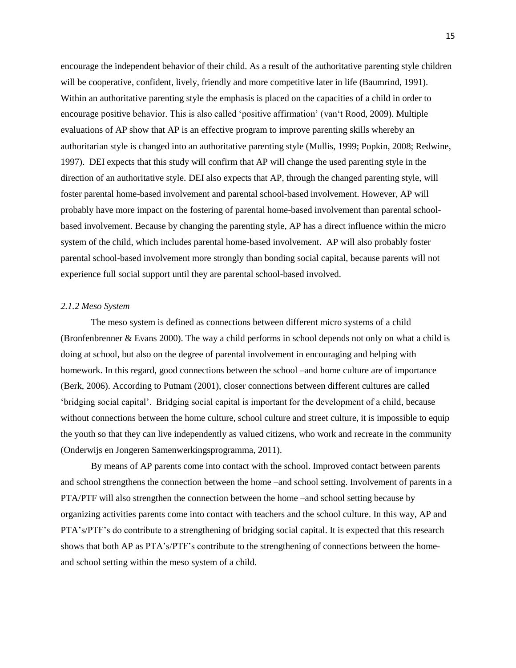encourage the independent behavior of their child. As a result of the authoritative parenting style children will be cooperative, confident, lively, friendly and more competitive later in life (Baumrind, 1991). Within an authoritative parenting style the emphasis is placed on the capacities of a child in order to encourage positive behavior. This is also called 'positive affirmation' (van't Rood, 2009). Multiple evaluations of AP show that AP is an effective program to improve parenting skills whereby an authoritarian style is changed into an authoritative parenting style (Mullis, 1999; Popkin, 2008; Redwine, 1997). DEI expects that this study will confirm that AP will change the used parenting style in the direction of an authoritative style. DEI also expects that AP, through the changed parenting style, will foster parental home-based involvement and parental school-based involvement. However, AP will probably have more impact on the fostering of parental home-based involvement than parental schoolbased involvement. Because by changing the parenting style, AP has a direct influence within the micro system of the child, which includes parental home-based involvement. AP will also probably foster parental school-based involvement more strongly than bonding social capital, because parents will not experience full social support until they are parental school-based involved.

### *2.1.2 Meso System*

The meso system is defined as connections between different micro systems of a child (Bronfenbrenner & Evans 2000). The way a child performs in school depends not only on what a child is doing at school, but also on the degree of parental involvement in encouraging and helping with homework. In this regard, good connections between the school –and home culture are of importance (Berk, 2006). According to Putnam (2001), closer connections between different cultures are called 'bridging social capital'. Bridging social capital is important for the development of a child, because without connections between the home culture, school culture and street culture, it is impossible to equip the youth so that they can live independently as valued citizens, who work and recreate in the community (Onderwijs en Jongeren Samenwerkingsprogramma, 2011).

By means of AP parents come into contact with the school. Improved contact between parents and school strengthens the connection between the home –and school setting. Involvement of parents in a PTA/PTF will also strengthen the connection between the home –and school setting because by organizing activities parents come into contact with teachers and the school culture. In this way, AP and PTA's/PTF's do contribute to a strengthening of bridging social capital. It is expected that this research shows that both AP as PTA's/PTF's contribute to the strengthening of connections between the homeand school setting within the meso system of a child.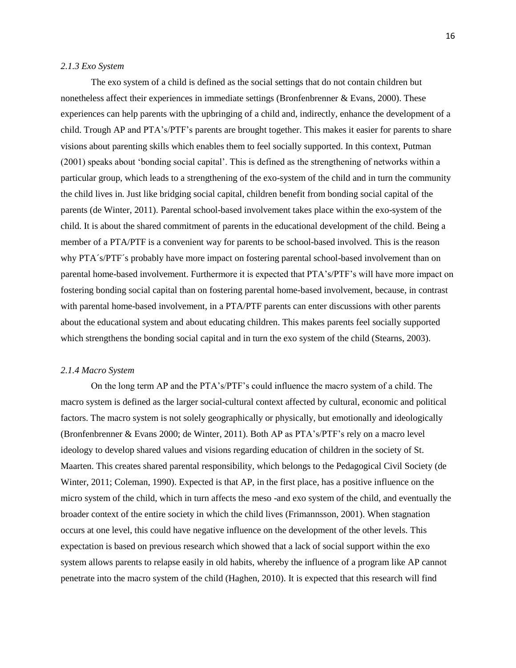### *2.1.3 Exo System*

The exo system of a child is defined as the social settings that do not contain children but nonetheless affect their experiences in immediate settings (Bronfenbrenner & Evans, 2000). These experiences can help parents with the upbringing of a child and, indirectly, enhance the development of a child. Trough AP and PTA's/PTF's parents are brought together. This makes it easier for parents to share visions about parenting skills which enables them to feel socially supported. In this context, Putman (2001) speaks about 'bonding social capital'. This is defined as the strengthening of networks within a particular group, which leads to a strengthening of the exo-system of the child and in turn the community the child lives in. Just like bridging social capital, children benefit from bonding social capital of the parents (de Winter, 2011). Parental school-based involvement takes place within the exo-system of the child. It is about the shared commitment of parents in the educational development of the child. Being a member of a PTA/PTF is a convenient way for parents to be school-based involved. This is the reason why PTA´s/PTF´s probably have more impact on fostering parental school-based involvement than on parental home-based involvement. Furthermore it is expected that PTA's/PTF's will have more impact on fostering bonding social capital than on fostering parental home-based involvement, because, in contrast with parental home-based involvement, in a PTA/PTF parents can enter discussions with other parents about the educational system and about educating children. This makes parents feel socially supported which strengthens the bonding social capital and in turn the exo system of the child (Stearns, 2003).

#### *2.1.4 Macro System*

On the long term AP and the PTA's/PTF's could influence the macro system of a child. The macro system is defined as the larger social-cultural context affected by cultural, economic and political factors. The macro system is not solely geographically or physically, but emotionally and ideologically (Bronfenbrenner & Evans 2000; de Winter, 2011). Both AP as PTA's/PTF's rely on a macro level ideology to develop shared values and visions regarding education of children in the society of St. Maarten. This creates shared parental responsibility, which belongs to the Pedagogical Civil Society (de Winter, 2011; Coleman, 1990). Expected is that AP, in the first place, has a positive influence on the micro system of the child, which in turn affects the meso -and exo system of the child, and eventually the broader context of the entire society in which the child lives (Frimannsson, 2001). When stagnation occurs at one level, this could have negative influence on the development of the other levels. This expectation is based on previous research which showed that a lack of social support within the exo system allows parents to relapse easily in old habits, whereby the influence of a program like AP cannot penetrate into the macro system of the child (Haghen, 2010). It is expected that this research will find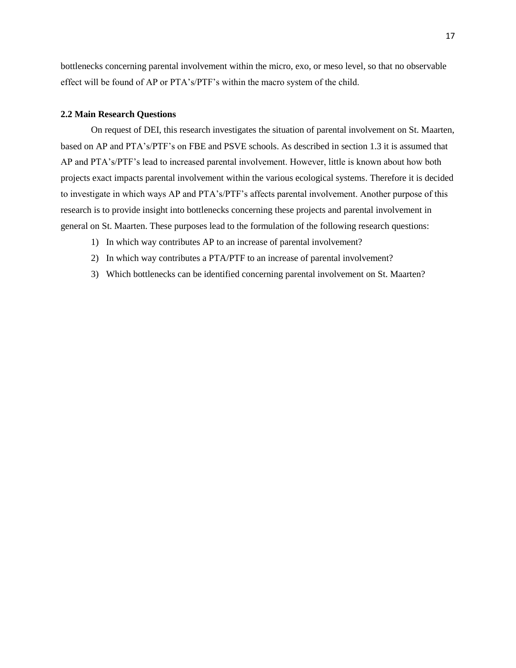bottlenecks concerning parental involvement within the micro, exo, or meso level, so that no observable effect will be found of AP or PTA's/PTF's within the macro system of the child.

### **2.2 Main Research Questions**

On request of DEI, this research investigates the situation of parental involvement on St. Maarten, based on AP and PTA's/PTF's on FBE and PSVE schools. As described in section 1.3 it is assumed that AP and PTA's/PTF's lead to increased parental involvement. However, little is known about how both projects exact impacts parental involvement within the various ecological systems. Therefore it is decided to investigate in which ways AP and PTA's/PTF's affects parental involvement. Another purpose of this research is to provide insight into bottlenecks concerning these projects and parental involvement in general on St. Maarten. These purposes lead to the formulation of the following research questions:

- 1) In which way contributes AP to an increase of parental involvement?
- 2) In which way contributes a PTA/PTF to an increase of parental involvement?
- 3) Which bottlenecks can be identified concerning parental involvement on St. Maarten?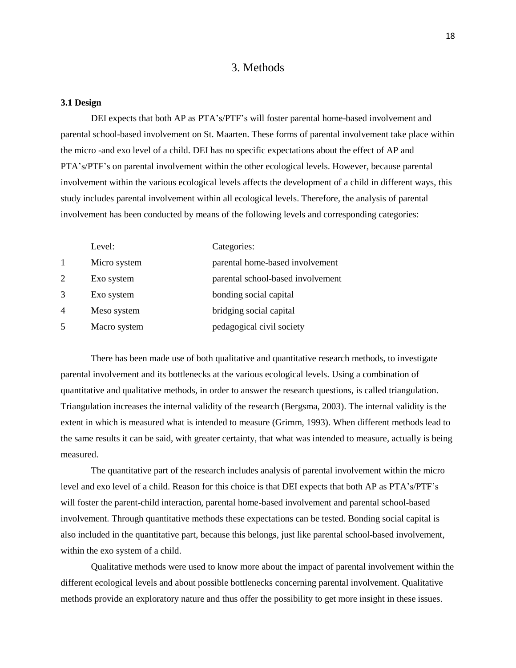# 3. Methods

### **3.1 Design**

DEI expects that both AP as PTA's/PTF's will foster parental home-based involvement and parental school-based involvement on St. Maarten. These forms of parental involvement take place within the micro -and exo level of a child. DEI has no specific expectations about the effect of AP and PTA's/PTF's on parental involvement within the other ecological levels. However, because parental involvement within the various ecological levels affects the development of a child in different ways, this study includes parental involvement within all ecological levels. Therefore, the analysis of parental involvement has been conducted by means of the following levels and corresponding categories:

|              | Level:       | Categories:                       |
|--------------|--------------|-----------------------------------|
| $\mathbf{1}$ | Micro system | parental home-based involvement   |
| 2            | Exo system   | parental school-based involvement |
| 3            | Exo system   | bonding social capital            |
| 4            | Meso system  | bridging social capital           |
| 5            | Macro system | pedagogical civil society         |

There has been made use of both qualitative and quantitative research methods, to investigate parental involvement and its bottlenecks at the various ecological levels. Using a combination of quantitative and qualitative methods, in order to answer the research questions, is called triangulation. Triangulation increases the internal validity of the research (Bergsma, 2003). The internal validity is the extent in which is measured what is intended to measure (Grimm, 1993). When different methods lead to the same results it can be said, with greater certainty, that what was intended to measure, actually is being measured.

The quantitative part of the research includes analysis of parental involvement within the micro level and exo level of a child. Reason for this choice is that DEI expects that both AP as PTA's/PTF's will foster the parent-child interaction, parental home-based involvement and parental school-based involvement. Through quantitative methods these expectations can be tested. Bonding social capital is also included in the quantitative part, because this belongs, just like parental school-based involvement, within the exo system of a child.

Qualitative methods were used to know more about the impact of parental involvement within the different ecological levels and about possible bottlenecks concerning parental involvement. Qualitative methods provide an exploratory nature and thus offer the possibility to get more insight in these issues.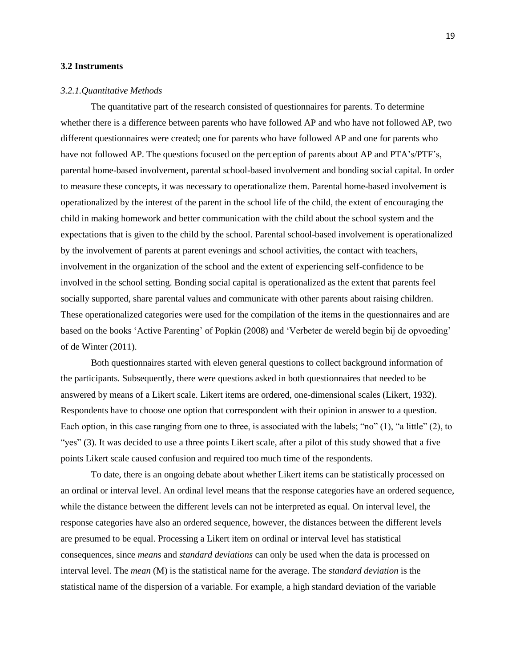### **3.2 Instruments**

#### *3.2.1.Quantitative Methods*

The quantitative part of the research consisted of questionnaires for parents. To determine whether there is a difference between parents who have followed AP and who have not followed AP, two different questionnaires were created; one for parents who have followed AP and one for parents who have not followed AP. The questions focused on the perception of parents about AP and PTA's/PTF's, parental home-based involvement, parental school-based involvement and bonding social capital. In order to measure these concepts, it was necessary to operationalize them. Parental home-based involvement is operationalized by the interest of the parent in the school life of the child, the extent of encouraging the child in making homework and better communication with the child about the school system and the expectations that is given to the child by the school. Parental school-based involvement is operationalized by the involvement of parents at parent evenings and school activities, the contact with teachers, involvement in the organization of the school and the extent of experiencing self-confidence to be involved in the school setting. Bonding social capital is operationalized as the extent that parents feel socially supported, share parental values and communicate with other parents about raising children. These operationalized categories were used for the compilation of the items in the questionnaires and are based on the books 'Active Parenting' of Popkin (2008) and 'Verbeter de wereld begin bij de opvoeding' of de Winter (2011).

Both questionnaires started with eleven general questions to collect background information of the participants. Subsequently, there were questions asked in both questionnaires that needed to be answered by means of a Likert scale. Likert items are ordered, one-dimensional scales (Likert, 1932). Respondents have to choose one option that correspondent with their opinion in answer to a question. Each option, in this case ranging from one to three, is associated with the labels; "no" (1), "a little" (2), to "yes" (3). It was decided to use a three points Likert scale, after a pilot of this study showed that a five points Likert scale caused confusion and required too much time of the respondents.

To date, there is an ongoing debate about whether Likert items can be statistically processed on an ordinal or interval level. An ordinal level means that the response categories have an ordered sequence, while the distance between the different levels can not be interpreted as equal. On interval level, the response categories have also an ordered sequence, however, the distances between the different levels are presumed to be equal. Processing a Likert item on ordinal or interval level has statistical consequences, since *means* and *standard deviations* can only be used when the data is processed on interval level. The *mean* (M) is the statistical name for the average. The *standard deviation* is the statistical name of the dispersion of a variable. For example, a high standard deviation of the variable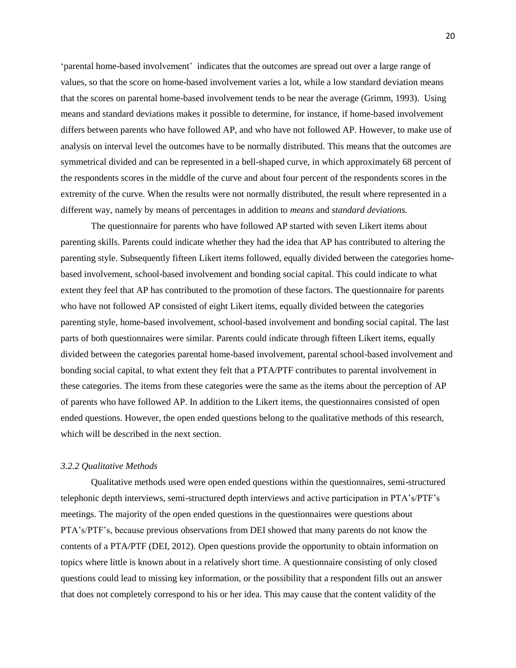'parental home-based involvement' indicates that the outcomes are spread out over a large range of values, so that the score on home-based involvement varies a lot, while a low standard deviation means that the scores on parental home-based involvement tends to be near the average (Grimm, 1993). Using means and standard deviations makes it possible to determine, for instance, if home-based involvement differs between parents who have followed AP, and who have not followed AP. However, to make use of analysis on interval level the outcomes have to be normally distributed. This means that the outcomes are symmetrical divided and can be represented in a bell-shaped curve, in which approximately 68 percent of the respondents scores in the middle of the curve and about four percent of the respondents scores in the extremity of the curve. When the results were not normally distributed, the result where represented in a different way, namely by means of percentages in addition to *means* and *standard deviations.*

The questionnaire for parents who have followed AP started with seven Likert items about parenting skills. Parents could indicate whether they had the idea that AP has contributed to altering the parenting style. Subsequently fifteen Likert items followed, equally divided between the categories homebased involvement, school-based involvement and bonding social capital. This could indicate to what extent they feel that AP has contributed to the promotion of these factors. The questionnaire for parents who have not followed AP consisted of eight Likert items, equally divided between the categories parenting style, home-based involvement, school-based involvement and bonding social capital. The last parts of both questionnaires were similar. Parents could indicate through fifteen Likert items, equally divided between the categories parental home-based involvement, parental school-based involvement and bonding social capital, to what extent they felt that a PTA/PTF contributes to parental involvement in these categories. The items from these categories were the same as the items about the perception of AP of parents who have followed AP. In addition to the Likert items, the questionnaires consisted of open ended questions. However, the open ended questions belong to the qualitative methods of this research, which will be described in the next section.

### *3.2.2 Qualitative Methods*

Qualitative methods used were open ended questions within the questionnaires, semi-structured telephonic depth interviews, semi-structured depth interviews and active participation in PTA's/PTF's meetings. The majority of the open ended questions in the questionnaires were questions about PTA's/PTF's, because previous observations from DEI showed that many parents do not know the contents of a PTA/PTF (DEI, 2012). Open questions provide the opportunity to obtain information on topics where little is known about in a relatively short time. A questionnaire consisting of only closed questions could lead to missing key information, or the possibility that a respondent fills out an answer that does not completely correspond to his or her idea. This may cause that the content validity of the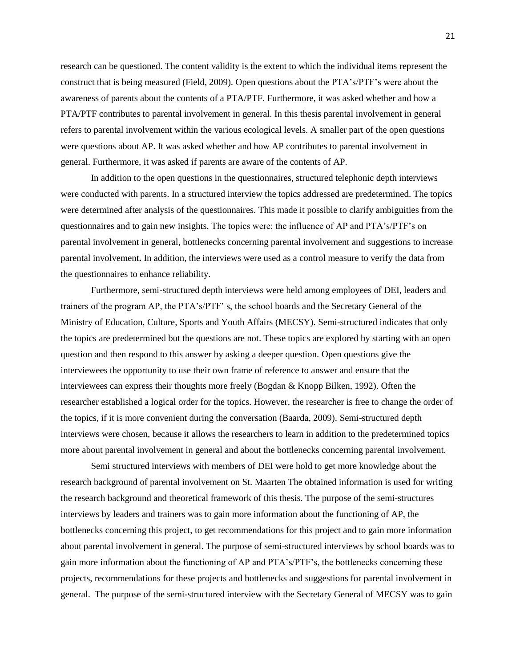research can be questioned. The content validity is the extent to which the individual items represent the construct that is being measured (Field, 2009). Open questions about the PTA's/PTF's were about the awareness of parents about the contents of a PTA/PTF. Furthermore, it was asked whether and how a PTA/PTF contributes to parental involvement in general. In this thesis parental involvement in general refers to parental involvement within the various ecological levels. A smaller part of the open questions were questions about AP. It was asked whether and how AP contributes to parental involvement in general. Furthermore, it was asked if parents are aware of the contents of AP.

In addition to the open questions in the questionnaires, structured telephonic depth interviews were conducted with parents. In a structured interview the topics addressed are predetermined. The topics were determined after analysis of the questionnaires. This made it possible to clarify ambiguities from the questionnaires and to gain new insights. The topics were: the influence of AP and PTA's/PTF's on parental involvement in general, bottlenecks concerning parental involvement and suggestions to increase parental involvement**.** In addition, the interviews were used as a control measure to verify the data from the questionnaires to enhance reliability.

Furthermore, semi-structured depth interviews were held among employees of DEI, leaders and trainers of the program AP, the PTA's/PTF' s, the school boards and the Secretary General of the Ministry of Education, Culture, Sports and Youth Affairs (MECSY). Semi-structured indicates that only the topics are predetermined but the questions are not. These topics are explored by starting with an open question and then respond to this answer by asking a deeper question. Open questions give the interviewees the opportunity to use their own frame of reference to answer and ensure that the interviewees can express their thoughts more freely (Bogdan & Knopp Bilken, 1992). Often the researcher established a logical order for the topics. However, the researcher is free to change the order of the topics, if it is more convenient during the conversation (Baarda, 2009). Semi-structured depth interviews were chosen, because it allows the researchers to learn in addition to the predetermined topics more about parental involvement in general and about the bottlenecks concerning parental involvement.

Semi structured interviews with members of DEI were hold to get more knowledge about the research background of parental involvement on St. Maarten The obtained information is used for writing the research background and theoretical framework of this thesis. The purpose of the semi-structures interviews by leaders and trainers was to gain more information about the functioning of AP, the bottlenecks concerning this project, to get recommendations for this project and to gain more information about parental involvement in general. The purpose of semi-structured interviews by school boards was to gain more information about the functioning of AP and PTA's/PTF's, the bottlenecks concerning these projects, recommendations for these projects and bottlenecks and suggestions for parental involvement in general. The purpose of the semi-structured interview with the Secretary General of MECSY was to gain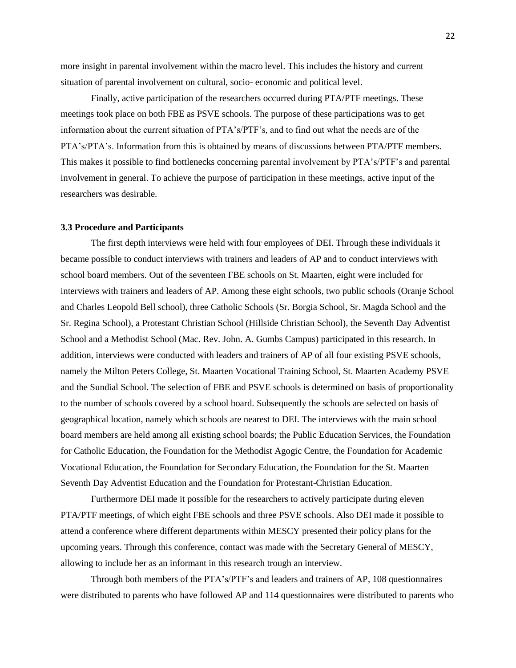more insight in parental involvement within the macro level. This includes the history and current situation of parental involvement on cultural, socio- economic and political level.

Finally, active participation of the researchers occurred during PTA/PTF meetings. These meetings took place on both FBE as PSVE schools. The purpose of these participations was to get information about the current situation of PTA's/PTF's, and to find out what the needs are of the PTA's/PTA's. Information from this is obtained by means of discussions between PTA/PTF members. This makes it possible to find bottlenecks concerning parental involvement by PTA's/PTF's and parental involvement in general. To achieve the purpose of participation in these meetings, active input of the researchers was desirable.

### **3.3 Procedure and Participants**

The first depth interviews were held with four employees of DEI. Through these individuals it became possible to conduct interviews with trainers and leaders of AP and to conduct interviews with school board members. Out of the seventeen FBE schools on St. Maarten, eight were included for interviews with trainers and leaders of AP. Among these eight schools, two public schools (Oranje School and Charles Leopold Bell school), three Catholic Schools (Sr. Borgia School, Sr. Magda School and the Sr. Regina School), a Protestant Christian School (Hillside Christian School), the Seventh Day Adventist School and a Methodist School (Mac. Rev. John. A. Gumbs Campus) participated in this research. In addition, interviews were conducted with leaders and trainers of AP of all four existing PSVE schools, namely the Milton Peters College, St. Maarten Vocational Training School, St. Maarten Academy PSVE and the Sundial School. The selection of FBE and PSVE schools is determined on basis of proportionality to the number of schools covered by a school board. Subsequently the schools are selected on basis of geographical location, namely which schools are nearest to DEI. The interviews with the main school board members are held among all existing school boards; the Public Education Services, the Foundation for Catholic Education, the Foundation for the Methodist Agogic Centre, the Foundation for Academic Vocational Education, the Foundation for Secondary Education, the Foundation for the St. Maarten Seventh Day Adventist Education and the Foundation for Protestant-Christian Education.

Furthermore DEI made it possible for the researchers to actively participate during eleven PTA/PTF meetings, of which eight FBE schools and three PSVE schools. Also DEI made it possible to attend a conference where different departments within MESCY presented their policy plans for the upcoming years. Through this conference, contact was made with the Secretary General of MESCY, allowing to include her as an informant in this research trough an interview.

Through both members of the PTA's/PTF's and leaders and trainers of AP, 108 questionnaires were distributed to parents who have followed AP and 114 questionnaires were distributed to parents who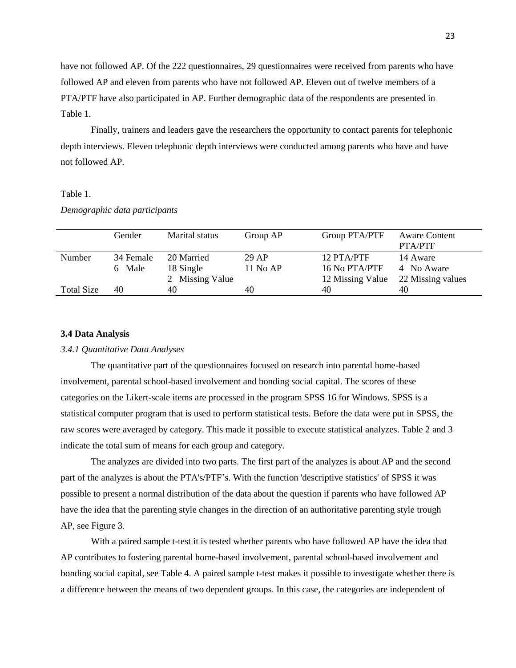have not followed AP. Of the 222 questionnaires, 29 questionnaires were received from parents who have followed AP and eleven from parents who have not followed AP. Eleven out of twelve members of a PTA/PTF have also participated in AP. Further demographic data of the respondents are presented in Table 1.

Finally, trainers and leaders gave the researchers the opportunity to contact parents for telephonic depth interviews. Eleven telephonic depth interviews were conducted among parents who have and have not followed AP.

# Table 1.

*Demographic data participants*

|               | Gender    | Marital status  | Group AP | Group PTA/PTF    | <b>Aware Content</b><br>PTA/PTF |
|---------------|-----------|-----------------|----------|------------------|---------------------------------|
| <b>Number</b> | 34 Female | 20 Married      | 29 AP    | 12 PTA/PTF       | 14 Aware                        |
|               | 6 Male    | 18 Single       | 11 No AP | 16 No PTA/PTF    | 4 No Aware                      |
|               |           | 2 Missing Value |          | 12 Missing Value | 22 Missing values               |
| Total Size    | 40        | 40              | 40       | 40               | 40                              |
|               |           |                 |          |                  |                                 |

# **3.4 Data Analysis**

# *3.4.1 Quantitative Data Analyses*

The quantitative part of the questionnaires focused on research into parental home-based involvement, parental school-based involvement and bonding social capital. The scores of these categories on the Likert-scale items are processed in the program SPSS 16 for Windows. SPSS is a statistical computer program that is used to perform statistical tests. Before the data were put in SPSS, the raw scores were averaged by category. This made it possible to execute statistical analyzes. Table 2 and 3 indicate the total sum of means for each group and category.

The analyzes are divided into two parts. The first part of the analyzes is about AP and the second part of the analyzes is about the PTA's/PTF's. With the function 'descriptive statistics' of SPSS it was possible to present a normal distribution of the data about the question if parents who have followed AP have the idea that the parenting style changes in the direction of an authoritative parenting style trough AP, see Figure 3.

With a paired sample t-test it is tested whether parents who have followed AP have the idea that AP contributes to fostering parental home-based involvement, parental school-based involvement and bonding social capital, see Table 4. A paired sample t-test makes it possible to investigate whether there is a difference between the means of two dependent groups. In this case, the categories are independent of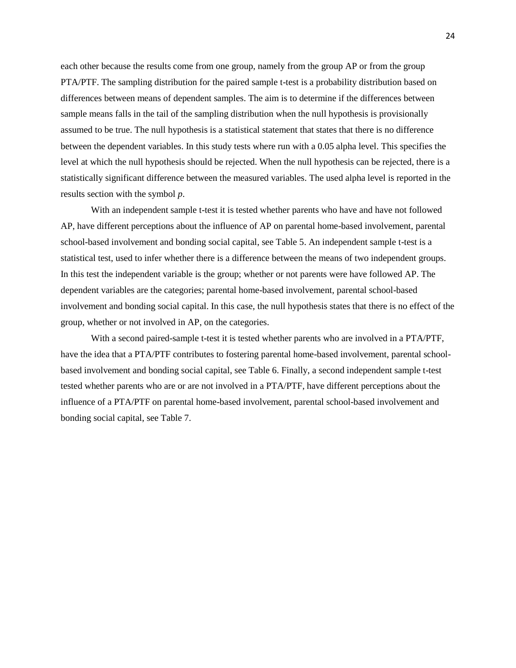each other because the results come from one group, namely from the group AP or from the group PTA/PTF. The sampling distribution for the paired sample t-test is a probability distribution based on differences between means of dependent samples. The aim is to determine if the differences between sample means falls in the tail of the sampling distribution when the null hypothesis is provisionally assumed to be true. The null hypothesis is a statistical statement that states that there is no difference between the dependent variables. In this study tests where run with a 0.05 alpha level. This specifies the level at which the null hypothesis should be rejected. When the null hypothesis can be rejected, there is a statistically significant difference between the measured variables. The used alpha level is reported in the results section with the symbol *p*.

With an independent sample t-test it is tested whether parents who have and have not followed AP, have different perceptions about the influence of AP on parental home-based involvement, parental school-based involvement and bonding social capital, see Table 5. An independent sample t-test is a statistical test, used to infer whether there is a difference between the means of two independent groups. In this test the independent variable is the group; whether or not parents were have followed AP. The dependent variables are the categories; parental home-based involvement, parental school-based involvement and bonding social capital. In this case, the null hypothesis states that there is no effect of the group, whether or not involved in AP, on the categories.

With a second paired-sample t-test it is tested whether parents who are involved in a PTA/PTF, have the idea that a PTA/PTF contributes to fostering parental home-based involvement, parental schoolbased involvement and bonding social capital, see Table 6. Finally, a second independent sample t-test tested whether parents who are or are not involved in a PTA/PTF, have different perceptions about the influence of a PTA/PTF on parental home-based involvement, parental school-based involvement and bonding social capital, see Table 7.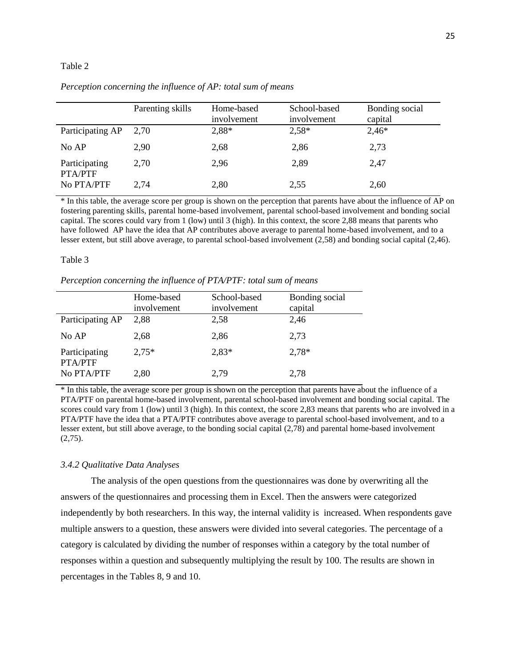# Table 2

|                          | Parenting skills | Home-based<br>involvement | School-based<br>involvement | Bonding social<br>capital |
|--------------------------|------------------|---------------------------|-----------------------------|---------------------------|
| Participating AP         | 2.70             | 2,88*                     | $2,58*$                     | $2,46*$                   |
| No AP                    | 2,90             | 2,68                      | 2,86                        | 2,73                      |
| Participating<br>PTA/PTF | 2.70             | 2,96                      | 2,89                        | 2,47                      |
| No PTA/PTF               | 2,74             | 2,80                      | 2,55                        | 2,60                      |

*Perception concerning the influence of AP: total sum of means*

\* In this table, the average score per group is shown on the perception that parents have about the influence of AP on fostering parenting skills, parental home-based involvement, parental school-based involvement and bonding social capital. The scores could vary from 1 (low) until 3 (high). In this context, the score 2,88 means that parents who have followed AP have the idea that AP contributes above average to parental home-based involvement, and to a lesser extent, but still above average, to parental school-based involvement (2,58) and bonding social capital (2,46).

### Table 3

*Perception concerning the influence of PTA/PTF: total sum of means*

|                          | Home-based<br>involvement | School-based<br>involvement | Bonding social<br>capital |
|--------------------------|---------------------------|-----------------------------|---------------------------|
| Participating AP         | 2,88                      | 2,58                        | 2,46                      |
| No AP                    | 2,68                      | 2,86                        | 2,73                      |
| Participating<br>PTA/PTF | $2.75*$                   | $2,83*$                     | $2.78*$                   |
| No PTA/PTF               | 2,80                      | 2,79                        | 2,78                      |

\* In this table, the average score per group is shown on the perception that parents have about the influence of a PTA/PTF on parental home-based involvement, parental school-based involvement and bonding social capital. The scores could vary from 1 (low) until 3 (high). In this context, the score 2,83 means that parents who are involved in a PTA/PTF have the idea that a PTA/PTF contributes above average to parental school-based involvement, and to a lesser extent, but still above average, to the bonding social capital (2,78) and parental home-based involvement  $(2,75)$ .

### *3.4.2 Qualitative Data Analyses*

The analysis of the open questions from the questionnaires was done by overwriting all the answers of the questionnaires and processing them in Excel. Then the answers were categorized independently by both researchers. In this way, the internal validity is increased. When respondents gave multiple answers to a question, these answers were divided into several categories. The percentage of a category is calculated by dividing the number of responses within a category by the total number of responses within a question and subsequently multiplying the result by 100. The results are shown in percentages in the Tables 8, 9 and 10.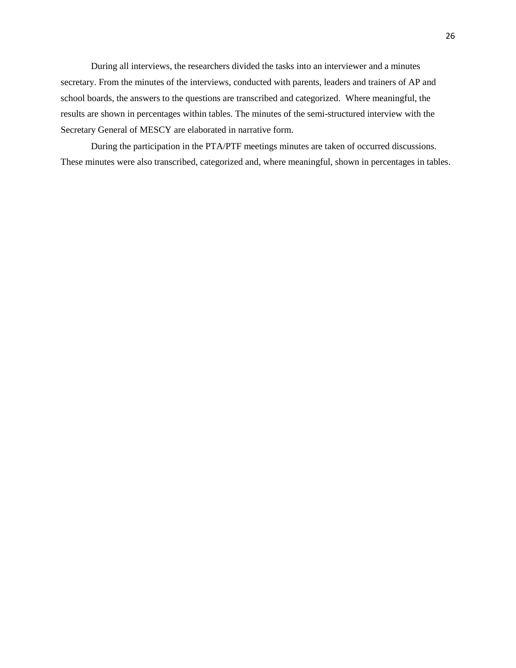During all interviews, the researchers divided the tasks into an interviewer and a minutes secretary. From the minutes of the interviews, conducted with parents, leaders and trainers of AP and school boards, the answers to the questions are transcribed and categorized. Where meaningful, the results are shown in percentages within tables. The minutes of the semi-structured interview with the Secretary General of MESCY are elaborated in narrative form.

During the participation in the PTA/PTF meetings minutes are taken of occurred discussions. These minutes were also transcribed, categorized and, where meaningful, shown in percentages in tables.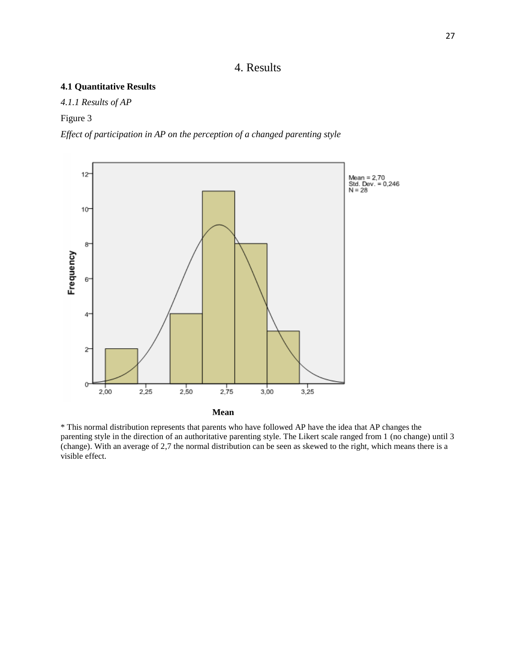# 4. Results

# **4.1 Quantitative Results**

*4.1.1 Results of AP*

Figure 3

*Effect of participation in AP on the perception of a changed parenting style*



\* This normal distribution represents that parents who have followed AP have the idea that AP changes the parenting style in the direction of an authoritative parenting style. The Likert scale ranged from 1 (no change) until 3 (change). With an average of 2,7 the normal distribution can be seen as skewed to the right, which means there is a visible effect.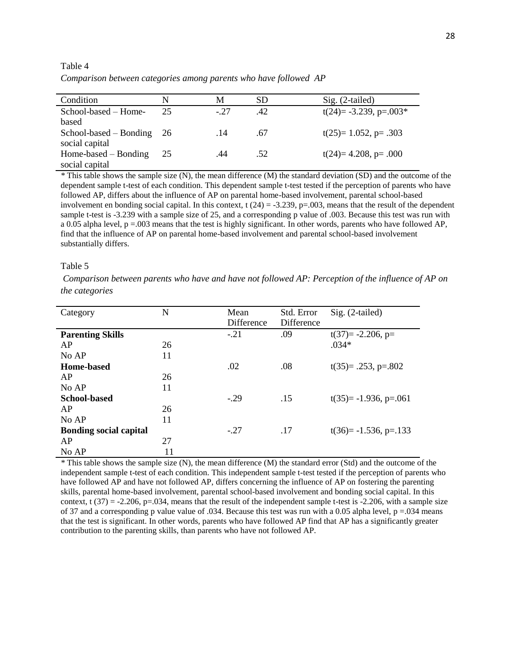Condition N M SD Sig. (2-tailed) School-based – Homebased 25  $\text{c}$ .27  $\text{d}$ .42  $\text{t}(24) = -3.239, \text{p} = .003*$ School-based – Bonding social capital 26 .14 .67  $t(25)=1.052$ ,  $p=.303$ Home-based – Bonding social capital 25 .44 .52  $t(24)=4.208$ ,  $p=.000$ 

Table 4 *Comparison between categories among parents who have followed AP*

*\** This table shows the sample size (N), the mean difference (M) the standard deviation (SD) and the outcome of the dependent sample t-test of each condition. This dependent sample t-test tested if the perception of parents who have followed AP, differs about the influence of AP on parental home-based involvement, parental school-based involvement en bonding social capital. In this context,  $t(24) = -3.239$ ,  $p=0.003$ , means that the result of the dependent sample t-test is -3.239 with a sample size of 25, and a corresponding p value of .003. Because this test was run with a 0.05 alpha level, p =.003 means that the test is highly significant. In other words, parents who have followed AP, find that the influence of AP on parental home-based involvement and parental school-based involvement substantially differs.

### Table 5

*Comparison between parents who have and have not followed AP: Perception of the influence of AP on the categories*

| Category                      | N  | Mean<br>Difference | Std. Error<br><b>Difference</b> | Sig. (2-tailed)          |
|-------------------------------|----|--------------------|---------------------------------|--------------------------|
| <b>Parenting Skills</b>       |    | $-.21$             | .09                             | $t(37)= -2.206, p=$      |
| AP                            | 26 |                    |                                 | $.034*$                  |
| No AP                         | 11 |                    |                                 |                          |
| <b>Home-based</b>             |    | .02                | .08                             | $t(35)=$ .253, p=.802    |
| AP                            | 26 |                    |                                 |                          |
| No AP                         | 11 |                    |                                 |                          |
| <b>School-based</b>           |    | $-29$              | .15                             | $t(35)= -1.936, p=.061$  |
| AP                            | 26 |                    |                                 |                          |
| No AP                         | 11 |                    |                                 |                          |
| <b>Bonding social capital</b> |    | $-27$              | .17                             | $t(36)= -1.536$ , p=.133 |
| AP                            | 27 |                    |                                 |                          |
| No AP                         | 11 |                    |                                 |                          |

*\** This table shows the sample size (N), the mean difference (M) the standard error (Std) and the outcome of the independent sample t-test of each condition. This independent sample t-test tested if the perception of parents who have followed AP and have not followed AP, differs concerning the influence of AP on fostering the parenting skills, parental home-based involvement, parental school-based involvement and bonding social capital. In this context, t  $(37) = -2.206$ , p=.034, means that the result of the independent sample t-test is -2.206, with a sample size of 37 and a corresponding p value value of .034. Because this test was run with a 0.05 alpha level,  $p = .034$  means that the test is significant. In other words, parents who have followed AP find that AP has a significantly greater contribution to the parenting skills, than parents who have not followed AP.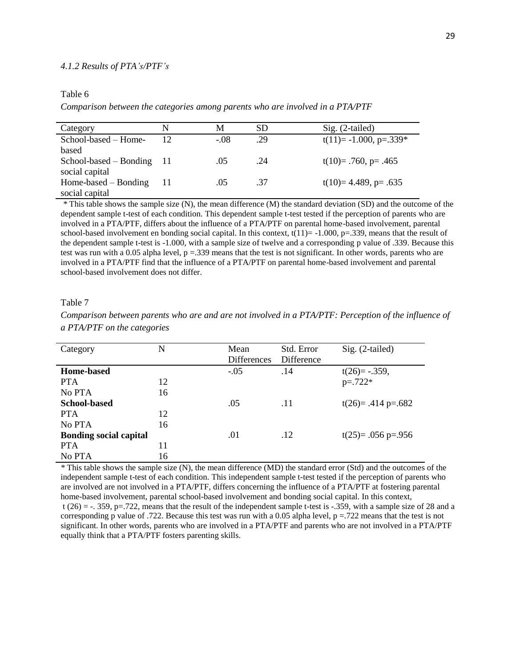## Table 6

*Comparison between the categories among parents who are involved in a PTA/PTF*

| Category                 | N    | М     | SD  | $Sig. (2-tailed)$          |
|--------------------------|------|-------|-----|----------------------------|
| School-based – Home-     | 12   | $-08$ | .29 | $t(11) = -1.000$ , p=.339* |
| based                    |      |       |     |                            |
| $School-based - Bonding$ | - 11 | (.)5  | .24 | t(10)= $.760$ , p= $.465$  |
| social capital           |      |       |     |                            |
| Home-based $-$ Bonding   | 11   | .05   | .37 | $t(10)=4.489$ , p= .635    |
| social capital           |      |       |     |                            |

*\** This table shows the sample size (N), the mean difference (M) the standard deviation (SD) and the outcome of the dependent sample t-test of each condition. This dependent sample t-test tested if the perception of parents who are involved in a PTA/PTF, differs about the influence of a PTA/PTF on parental home-based involvement, parental school-based involvement en bonding social capital. In this context,  $t(11) = -1.000$ , p=.339, means that the result of the dependent sample t-test is -1.000, with a sample size of twelve and a corresponding p value of .339. Because this test was run with a 0.05 alpha level,  $p = 0.339$  means that the test is not significant. In other words, parents who are involved in a PTA/PTF find that the influence of a PTA/PTF on parental home-based involvement and parental school-based involvement does not differ.

#### Table 7

*Comparison between parents who are and are not involved in a PTA/PTF: Perception of the influence of a PTA/PTF on the categories*

| Category                      | N  | Mean<br><b>Differences</b> | Std. Error<br>Difference | $Sig. (2-tailed)$    |
|-------------------------------|----|----------------------------|--------------------------|----------------------|
| Home-based                    |    | $-.05$                     | .14                      | $t(26)=-.359,$       |
| <b>PTA</b>                    | 12 |                            |                          | $p = 722*$           |
| No PTA                        | 16 |                            |                          |                      |
| <b>School-based</b>           |    | .05                        | .11                      | $t(26)= .414 p=.682$ |
| <b>PTA</b>                    | 12 |                            |                          |                      |
| No PTA                        | 16 |                            |                          |                      |
| <b>Bonding social capital</b> |    | .01                        | .12                      | $t(25)=.056$ p=.956  |
| <b>PTA</b>                    | 11 |                            |                          |                      |
| No PTA                        | 16 |                            |                          |                      |

*\** This table shows the sample size (N), the mean difference (MD) the standard error (Std) and the outcomes of the independent sample t-test of each condition. This independent sample t-test tested if the perception of parents who are involved are not involved in a PTA/PTF, differs concerning the influence of a PTA/PTF at fostering parental home-based involvement, parental school-based involvement and bonding social capital. In this context,  $t(26) = -0.359$ , p=.722, means that the result of the independent sample t-test is  $-0.359$ , with a sample size of 28 and a corresponding p value of .722. Because this test was run with a 0.05 alpha level,  $p = 722$  means that the test is not significant. In other words, parents who are involved in a PTA/PTF and parents who are not involved in a PTA/PTF equally think that a PTA/PTF fosters parenting skills.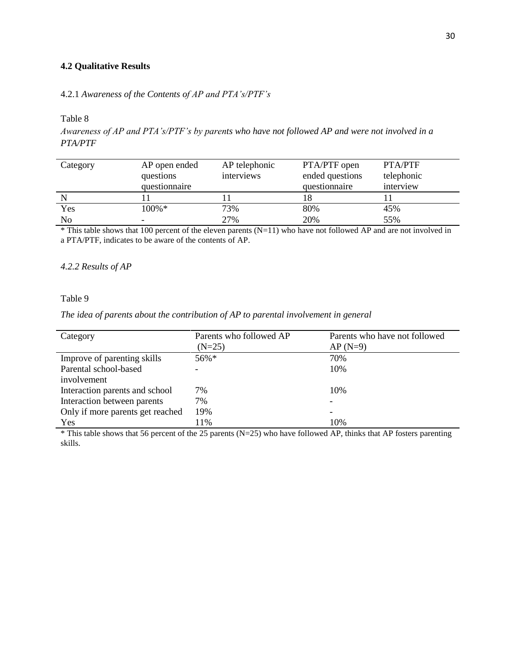# **4.2 Qualitative Results**

4.2.1 *Awareness of the Contents of AP and PTA's/PTF's*

Table 8

*Awareness of AP and PTA's/PTF's by parents who have not followed AP and were not involved in a PTA/PTF*

| Category       | AP open ended<br>questions<br>questionnaire | AP telephonic<br>interviews | PTA/PTF open<br>ended questions<br>questionnaire | PTA/PTF<br>telephonic<br>interview |
|----------------|---------------------------------------------|-----------------------------|--------------------------------------------------|------------------------------------|
|                |                                             |                             |                                                  |                                    |
| Yes            | $100\% *$                                   | 73%                         | 80%                                              | 45%                                |
| N <sub>o</sub> |                                             | 27%                         | 20%                                              | 55%                                |

\* This table shows that 100 percent of the eleven parents (N=11) who have not followed AP and are not involved in a PTA/PTF, indicates to be aware of the contents of AP.

# *4.2.2 Results of AP*

### Table 9

*The idea of parents about the contribution of AP to parental involvement in general*

| Category                         | Parents who followed AP | Parents who have not followed |
|----------------------------------|-------------------------|-------------------------------|
|                                  | $(N=25)$                | $AP(N=9)$                     |
| Improve of parenting skills      | 56%*                    | 70%                           |
| Parental school-based            |                         | 10%                           |
| involvement                      |                         |                               |
| Interaction parents and school   | 7%                      | 10%                           |
| Interaction between parents      | 7%                      |                               |
| Only if more parents get reached | 19%                     |                               |
| Yes                              | 11%                     | 10%                           |

 $*$  This table shows that 56 percent of the 25 parents (N=25) who have followed AP, thinks that AP fosters parenting skills.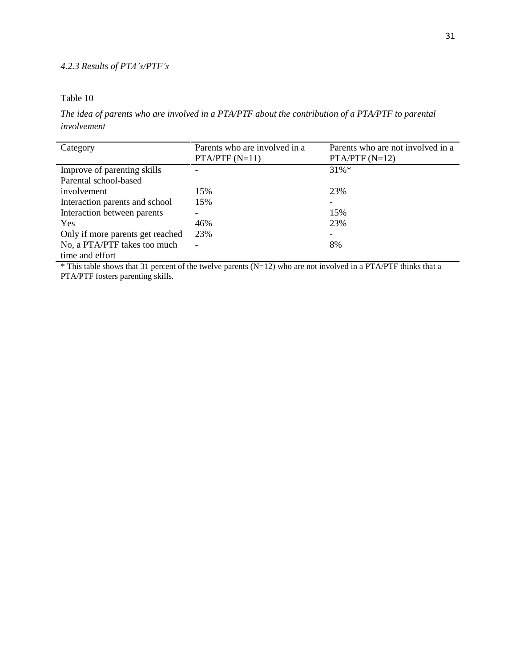# *4.2.3 Results of PTA's/PTF's*

# Table 10

*The idea of parents who are involved in a PTA/PTF about the contribution of a PTA/PTF to parental involvement*

| Category                         | Parents who are involved in a | Parents who are not involved in a |
|----------------------------------|-------------------------------|-----------------------------------|
|                                  | $PTA/PTF(N=11)$               | $PTA/PTF(N=12)$                   |
| Improve of parenting skills      |                               | $31\%*$                           |
| Parental school-based            |                               |                                   |
| involvement                      | 15%                           | 23%                               |
| Interaction parents and school   | 15%                           |                                   |
| Interaction between parents      |                               | 15%                               |
| <b>Yes</b>                       | 46%                           | 23%                               |
| Only if more parents get reached | 23%                           |                                   |
| No, a PTA/PTF takes too much     | $\overline{\phantom{0}}$      | 8%                                |
| time and effort                  |                               |                                   |

\* This table shows that 31 percent of the twelve parents (N=12) who are not involved in a PTA/PTF thinks that a PTA/PTF fosters parenting skills.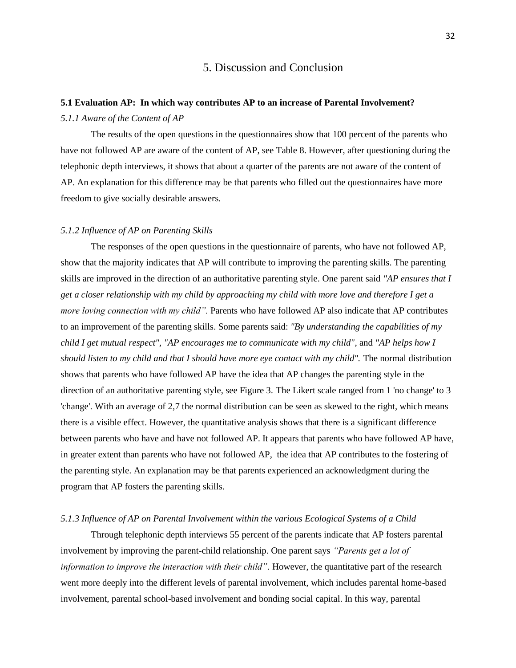# 5. Discussion and Conclusion

# **5.1 Evaluation AP: In which way contributes AP to an increase of Parental Involvement?** *5.1.1 Aware of the Content of AP*

The results of the open questions in the questionnaires show that 100 percent of the parents who have not followed AP are aware of the content of AP, see Table 8. However, after questioning during the telephonic depth interviews, it shows that about a quarter of the parents are not aware of the content of AP. An explanation for this difference may be that parents who filled out the questionnaires have more freedom to give socially desirable answers.

### *5.1.2 Influence of AP on Parenting Skills*

The responses of the open questions in the questionnaire of parents, who have not followed AP, show that the majority indicates that AP will contribute to improving the parenting skills. The parenting skills are improved in the direction of an authoritative parenting style. One parent said *"AP ensures that I get a closer relationship with my child by approaching my child with more love and therefore I get a more loving connection with my child".* Parents who have followed AP also indicate that AP contributes to an improvement of the parenting skills. Some parents said: *"By understanding the capabilities of my child I get mutual respect", "AP encourages me to communicate with my child"*, and *"AP helps how I should listen to my child and that I should have more eye contact with my child".* The normal distribution shows that parents who have followed AP have the idea that AP changes the parenting style in the direction of an authoritative parenting style, see Figure 3. The Likert scale ranged from 1 'no change' to 3 'change'. With an average of 2,7 the normal distribution can be seen as skewed to the right, which means there is a visible effect. However, the quantitative analysis shows that there is a significant difference between parents who have and have not followed AP. It appears that parents who have followed AP have, in greater extent than parents who have not followed AP, the idea that AP contributes to the fostering of the parenting style. An explanation may be that parents experienced an acknowledgment during the program that AP fosters the parenting skills.

### *5.1.3 Influence of AP on Parental Involvement within the various Ecological Systems of a Child*

Through telephonic depth interviews 55 percent of the parents indicate that AP fosters parental involvement by improving the parent-child relationship. One parent says *"Parents get a lot of information to improve the interaction with their child"*. However, the quantitative part of the research went more deeply into the different levels of parental involvement, which includes parental home-based involvement, parental school-based involvement and bonding social capital. In this way, parental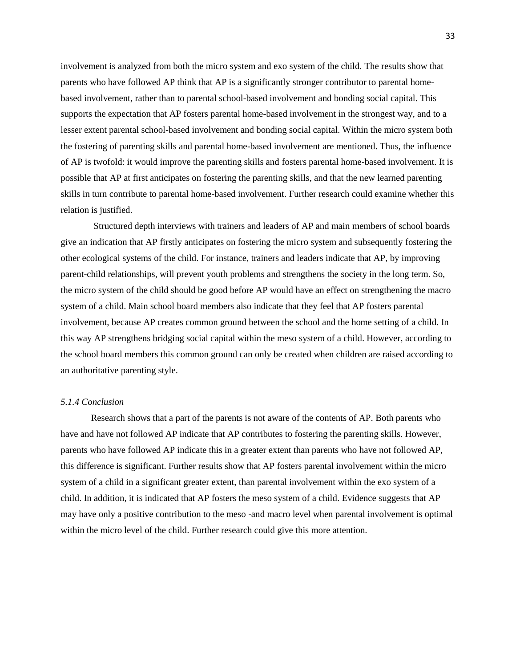involvement is analyzed from both the micro system and exo system of the child. The results show that parents who have followed AP think that AP is a significantly stronger contributor to parental homebased involvement, rather than to parental school-based involvement and bonding social capital. This supports the expectation that AP fosters parental home-based involvement in the strongest way, and to a lesser extent parental school-based involvement and bonding social capital. Within the micro system both the fostering of parenting skills and parental home-based involvement are mentioned. Thus, the influence of AP is twofold: it would improve the parenting skills and fosters parental home-based involvement. It is possible that AP at first anticipates on fostering the parenting skills, and that the new learned parenting skills in turn contribute to parental home-based involvement. Further research could examine whether this relation is justified.

Structured depth interviews with trainers and leaders of AP and main members of school boards give an indication that AP firstly anticipates on fostering the micro system and subsequently fostering the other ecological systems of the child. For instance, trainers and leaders indicate that AP, by improving parent-child relationships, will prevent youth problems and strengthens the society in the long term. So, the micro system of the child should be good before AP would have an effect on strengthening the macro system of a child. Main school board members also indicate that they feel that AP fosters parental involvement, because AP creates common ground between the school and the home setting of a child. In this way AP strengthens bridging social capital within the meso system of a child. However, according to the school board members this common ground can only be created when children are raised according to an authoritative parenting style.

### *5.1.4 Conclusion*

Research shows that a part of the parents is not aware of the contents of AP. Both parents who have and have not followed AP indicate that AP contributes to fostering the parenting skills. However, parents who have followed AP indicate this in a greater extent than parents who have not followed AP, this difference is significant. Further results show that AP fosters parental involvement within the micro system of a child in a significant greater extent, than parental involvement within the exo system of a child. In addition, it is indicated that AP fosters the meso system of a child. Evidence suggests that AP may have only a positive contribution to the meso -and macro level when parental involvement is optimal within the micro level of the child. Further research could give this more attention.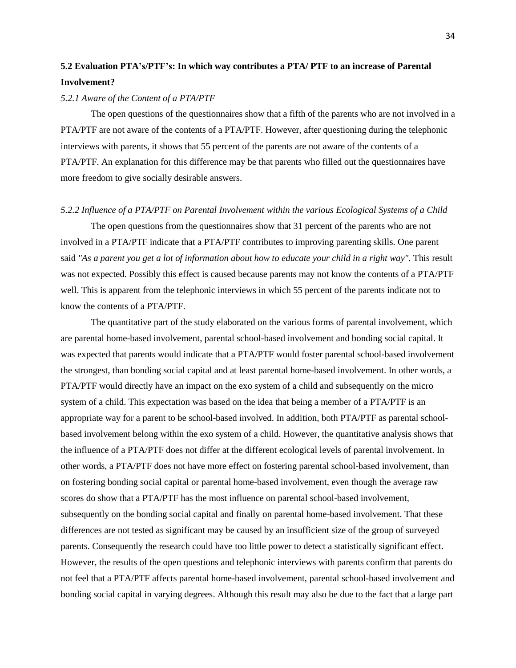# **5.2 Evaluation PTA's/PTF's: In which way contributes a PTA/ PTF to an increase of Parental Involvement?**

### *5.2.1 Aware of the Content of a PTA/PTF*

The open questions of the questionnaires show that a fifth of the parents who are not involved in a PTA/PTF are not aware of the contents of a PTA/PTF. However, after questioning during the telephonic interviews with parents, it shows that 55 percent of the parents are not aware of the contents of a PTA/PTF. An explanation for this difference may be that parents who filled out the questionnaires have more freedom to give socially desirable answers.

# *5.2.2 Influence of a PTA/PTF on Parental Involvement within the various Ecological Systems of a Child*

The open questions from the questionnaires show that 31 percent of the parents who are not involved in a PTA/PTF indicate that a PTA/PTF contributes to improving parenting skills. One parent said *"As a parent you get a lot of information about how to educate your child in a right way".* This result was not expected. Possibly this effect is caused because parents may not know the contents of a PTA/PTF well. This is apparent from the telephonic interviews in which 55 percent of the parents indicate not to know the contents of a PTA/PTF.

The quantitative part of the study elaborated on the various forms of parental involvement, which are parental home-based involvement, parental school-based involvement and bonding social capital. It was expected that parents would indicate that a PTA/PTF would foster parental school-based involvement the strongest, than bonding social capital and at least parental home-based involvement. In other words, a PTA/PTF would directly have an impact on the exo system of a child and subsequently on the micro system of a child. This expectation was based on the idea that being a member of a PTA/PTF is an appropriate way for a parent to be school-based involved. In addition, both PTA/PTF as parental schoolbased involvement belong within the exo system of a child. However, the quantitative analysis shows that the influence of a PTA/PTF does not differ at the different ecological levels of parental involvement. In other words, a PTA/PTF does not have more effect on fostering parental school-based involvement, than on fostering bonding social capital or parental home-based involvement, even though the average raw scores do show that a PTA/PTF has the most influence on parental school-based involvement, subsequently on the bonding social capital and finally on parental home-based involvement. That these differences are not tested as significant may be caused by an insufficient size of the group of surveyed parents. Consequently the research could have too little power to detect a statistically significant effect. However, the results of the open questions and telephonic interviews with parents confirm that parents do not feel that a PTA/PTF affects parental home-based involvement, parental school-based involvement and bonding social capital in varying degrees. Although this result may also be due to the fact that a large part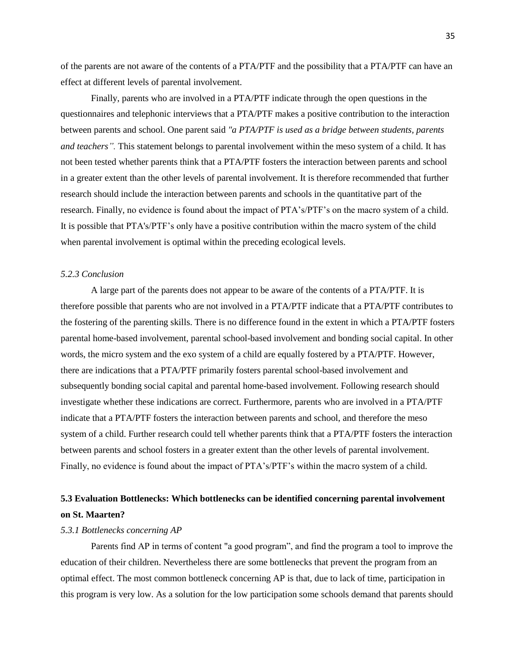of the parents are not aware of the contents of a PTA/PTF and the possibility that a PTA/PTF can have an effect at different levels of parental involvement.

Finally, parents who are involved in a PTA/PTF indicate through the open questions in the questionnaires and telephonic interviews that a PTA/PTF makes a positive contribution to the interaction between parents and school. One parent said *"a PTA/PTF is used as a bridge between students, parents and teachers".* This statement belongs to parental involvement within the meso system of a child. It has not been tested whether parents think that a PTA/PTF fosters the interaction between parents and school in a greater extent than the other levels of parental involvement. It is therefore recommended that further research should include the interaction between parents and schools in the quantitative part of the research. Finally, no evidence is found about the impact of PTA's/PTF's on the macro system of a child. It is possible that PTA's/PTF's only have a positive contribution within the macro system of the child when parental involvement is optimal within the preceding ecological levels.

### *5.2.3 Conclusion*

A large part of the parents does not appear to be aware of the contents of a PTA/PTF. It is therefore possible that parents who are not involved in a PTA/PTF indicate that a PTA/PTF contributes to the fostering of the parenting skills. There is no difference found in the extent in which a PTA/PTF fosters parental home-based involvement, parental school-based involvement and bonding social capital. In other words, the micro system and the exo system of a child are equally fostered by a PTA/PTF. However, there are indications that a PTA/PTF primarily fosters parental school-based involvement and subsequently bonding social capital and parental home-based involvement. Following research should investigate whether these indications are correct. Furthermore, parents who are involved in a PTA/PTF indicate that a PTA/PTF fosters the interaction between parents and school, and therefore the meso system of a child. Further research could tell whether parents think that a PTA/PTF fosters the interaction between parents and school fosters in a greater extent than the other levels of parental involvement. Finally, no evidence is found about the impact of PTA's/PTF's within the macro system of a child.

# **5.3 Evaluation Bottlenecks: Which bottlenecks can be identified concerning parental involvement on St. Maarten?**

### *5.3.1 Bottlenecks concerning AP*

Parents find AP in terms of content "a good program", and find the program a tool to improve the education of their children. Nevertheless there are some bottlenecks that prevent the program from an optimal effect. The most common bottleneck concerning AP is that, due to lack of time, participation in this program is very low. As a solution for the low participation some schools demand that parents should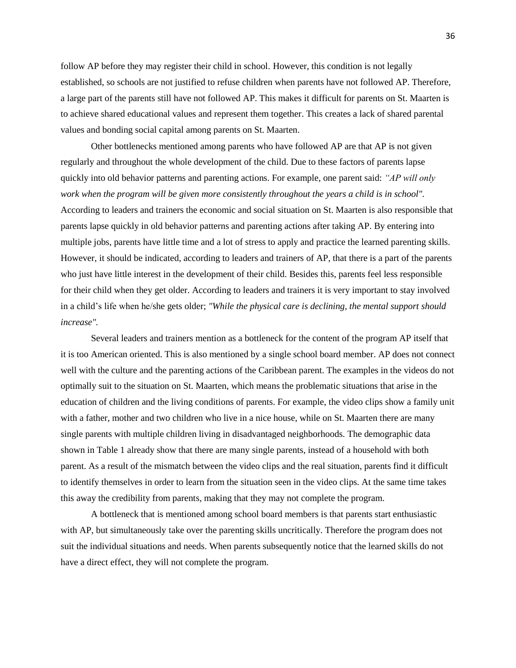follow AP before they may register their child in school. However, this condition is not legally established, so schools are not justified to refuse children when parents have not followed AP. Therefore, a large part of the parents still have not followed AP. This makes it difficult for parents on St. Maarten is to achieve shared educational values and represent them together. This creates a lack of shared parental values and bonding social capital among parents on St. Maarten.

Other bottlenecks mentioned among parents who have followed AP are that AP is not given regularly and throughout the whole development of the child. Due to these factors of parents lapse quickly into old behavior patterns and parenting actions. For example, one parent said: *"AP will only work when the program will be given more consistently throughout the years a child is in school".* According to leaders and trainers the economic and social situation on St. Maarten is also responsible that parents lapse quickly in old behavior patterns and parenting actions after taking AP. By entering into multiple jobs, parents have little time and a lot of stress to apply and practice the learned parenting skills. However, it should be indicated, according to leaders and trainers of AP, that there is a part of the parents who just have little interest in the development of their child. Besides this, parents feel less responsible for their child when they get older. According to leaders and trainers it is very important to stay involved in a child's life when he/she gets older; *"While the physical care is declining, the mental support should increase".*

Several leaders and trainers mention as a bottleneck for the content of the program AP itself that it is too American oriented. This is also mentioned by a single school board member. AP does not connect well with the culture and the parenting actions of the Caribbean parent. The examples in the videos do not optimally suit to the situation on St. Maarten, which means the problematic situations that arise in the education of children and the living conditions of parents. For example, the video clips show a family unit with a father, mother and two children who live in a nice house, while on St. Maarten there are many single parents with multiple children living in disadvantaged neighborhoods. The demographic data shown in Table 1 already show that there are many single parents, instead of a household with both parent. As a result of the mismatch between the video clips and the real situation, parents find it difficult to identify themselves in order to learn from the situation seen in the video clips. At the same time takes this away the credibility from parents, making that they may not complete the program.

A bottleneck that is mentioned among school board members is that parents start enthusiastic with AP, but simultaneously take over the parenting skills uncritically. Therefore the program does not suit the individual situations and needs. When parents subsequently notice that the learned skills do not have a direct effect, they will not complete the program.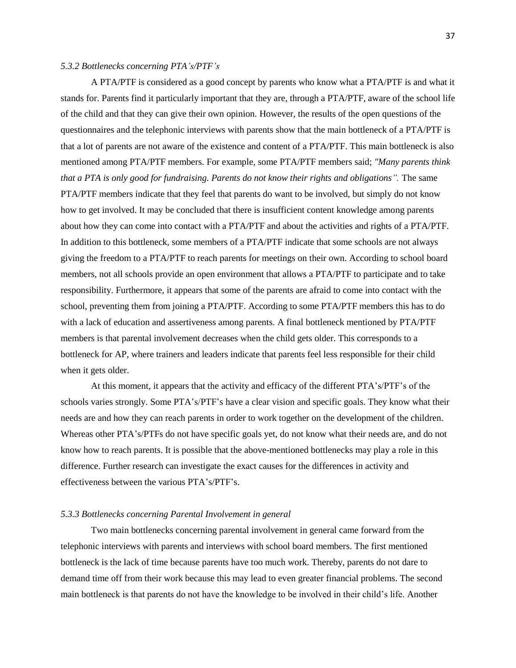### *5.3.2 Bottlenecks concerning PTA's/PTF's*

A PTA/PTF is considered as a good concept by parents who know what a PTA/PTF is and what it stands for. Parents find it particularly important that they are, through a PTA/PTF, aware of the school life of the child and that they can give their own opinion. However, the results of the open questions of the questionnaires and the telephonic interviews with parents show that the main bottleneck of a PTA/PTF is that a lot of parents are not aware of the existence and content of a PTA/PTF. This main bottleneck is also mentioned among PTA/PTF members. For example, some PTA/PTF members said; *"Many parents think that a PTA is only good for fundraising. Parents do not know their rights and obligations".* The same PTA/PTF members indicate that they feel that parents do want to be involved, but simply do not know how to get involved. It may be concluded that there is insufficient content knowledge among parents about how they can come into contact with a PTA/PTF and about the activities and rights of a PTA/PTF. In addition to this bottleneck, some members of a PTA/PTF indicate that some schools are not always giving the freedom to a PTA/PTF to reach parents for meetings on their own. According to school board members, not all schools provide an open environment that allows a PTA/PTF to participate and to take responsibility. Furthermore, it appears that some of the parents are afraid to come into contact with the school, preventing them from joining a PTA/PTF. According to some PTA/PTF members this has to do with a lack of education and assertiveness among parents. A final bottleneck mentioned by PTA/PTF members is that parental involvement decreases when the child gets older. This corresponds to a bottleneck for AP, where trainers and leaders indicate that parents feel less responsible for their child when it gets older.

At this moment, it appears that the activity and efficacy of the different PTA's/PTF's of the schools varies strongly. Some PTA's/PTF's have a clear vision and specific goals. They know what their needs are and how they can reach parents in order to work together on the development of the children. Whereas other PTA's/PTFs do not have specific goals yet, do not know what their needs are, and do not know how to reach parents. It is possible that the above-mentioned bottlenecks may play a role in this difference. Further research can investigate the exact causes for the differences in activity and effectiveness between the various PTA's/PTF's.

# *5.3.3 Bottlenecks concerning Parental Involvement in general*

Two main bottlenecks concerning parental involvement in general came forward from the telephonic interviews with parents and interviews with school board members. The first mentioned bottleneck is the lack of time because parents have too much work. Thereby, parents do not dare to demand time off from their work because this may lead to even greater financial problems. The second main bottleneck is that parents do not have the knowledge to be involved in their child's life. Another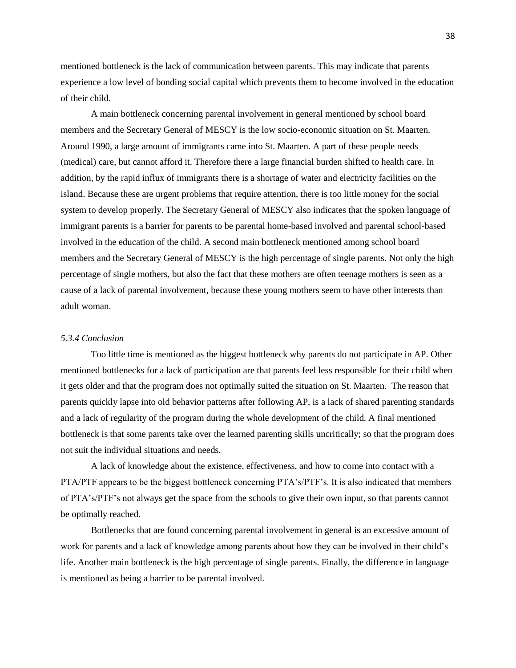mentioned bottleneck is the lack of communication between parents. This may indicate that parents experience a low level of bonding social capital which prevents them to become involved in the education of their child.

A main bottleneck concerning parental involvement in general mentioned by school board members and the Secretary General of MESCY is the low socio-economic situation on St. Maarten. Around 1990, a large amount of immigrants came into St. Maarten. A part of these people needs (medical) care, but cannot afford it. Therefore there a large financial burden shifted to health care. In addition, by the rapid influx of immigrants there is a shortage of water and electricity facilities on the island. Because these are urgent problems that require attention, there is too little money for the social system to develop properly. The Secretary General of MESCY also indicates that the spoken language of immigrant parents is a barrier for parents to be parental home-based involved and parental school-based involved in the education of the child. A second main bottleneck mentioned among school board members and the Secretary General of MESCY is the high percentage of single parents. Not only the high percentage of single mothers, but also the fact that these mothers are often teenage mothers is seen as a cause of a lack of parental involvement, because these young mothers seem to have other interests than adult woman.

#### *5.3.4 Conclusion*

Too little time is mentioned as the biggest bottleneck why parents do not participate in AP. Other mentioned bottlenecks for a lack of participation are that parents feel less responsible for their child when it gets older and that the program does not optimally suited the situation on St. Maarten. The reason that parents quickly lapse into old behavior patterns after following AP, is a lack of shared parenting standards and a lack of regularity of the program during the whole development of the child. A final mentioned bottleneck is that some parents take over the learned parenting skills uncritically; so that the program does not suit the individual situations and needs.

A lack of knowledge about the existence, effectiveness, and how to come into contact with a PTA/PTF appears to be the biggest bottleneck concerning PTA's/PTF's. It is also indicated that members of PTA's/PTF's not always get the space from the schools to give their own input, so that parents cannot be optimally reached.

Bottlenecks that are found concerning parental involvement in general is an excessive amount of work for parents and a lack of knowledge among parents about how they can be involved in their child's life. Another main bottleneck is the high percentage of single parents. Finally, the difference in language is mentioned as being a barrier to be parental involved.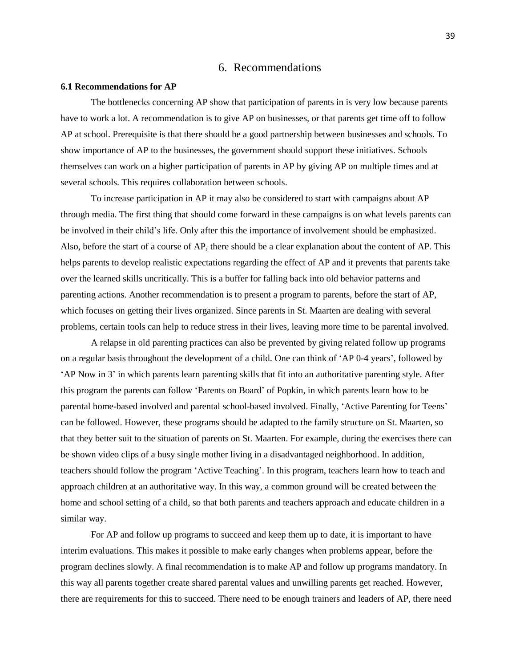# 6. Recommendations

#### **6.1 Recommendations for AP**

The bottlenecks concerning AP show that participation of parents in is very low because parents have to work a lot. A recommendation is to give AP on businesses, or that parents get time off to follow AP at school. Prerequisite is that there should be a good partnership between businesses and schools. To show importance of AP to the businesses, the government should support these initiatives. Schools themselves can work on a higher participation of parents in AP by giving AP on multiple times and at several schools. This requires collaboration between schools.

To increase participation in AP it may also be considered to start with campaigns about AP through media. The first thing that should come forward in these campaigns is on what levels parents can be involved in their child's life. Only after this the importance of involvement should be emphasized. Also, before the start of a course of AP, there should be a clear explanation about the content of AP. This helps parents to develop realistic expectations regarding the effect of AP and it prevents that parents take over the learned skills uncritically. This is a buffer for falling back into old behavior patterns and parenting actions. Another recommendation is to present a program to parents, before the start of AP, which focuses on getting their lives organized. Since parents in St. Maarten are dealing with several problems, certain tools can help to reduce stress in their lives, leaving more time to be parental involved.

A relapse in old parenting practices can also be prevented by giving related follow up programs on a regular basis throughout the development of a child. One can think of 'AP 0-4 years', followed by 'AP Now in 3' in which parents learn parenting skills that fit into an authoritative parenting style. After this program the parents can follow 'Parents on Board' of Popkin, in which parents learn how to be parental home-based involved and parental school-based involved. Finally, 'Active Parenting for Teens' can be followed. However, these programs should be adapted to the family structure on St. Maarten, so that they better suit to the situation of parents on St. Maarten. For example, during the exercises there can be shown video clips of a busy single mother living in a disadvantaged neighborhood. In addition, teachers should follow the program 'Active Teaching'. In this program, teachers learn how to teach and approach children at an authoritative way. In this way, a common ground will be created between the home and school setting of a child, so that both parents and teachers approach and educate children in a similar way.

For AP and follow up programs to succeed and keep them up to date, it is important to have interim evaluations. This makes it possible to make early changes when problems appear, before the program declines slowly. A final recommendation is to make AP and follow up programs mandatory. In this way all parents together create shared parental values and unwilling parents get reached. However, there are requirements for this to succeed. There need to be enough trainers and leaders of AP, there need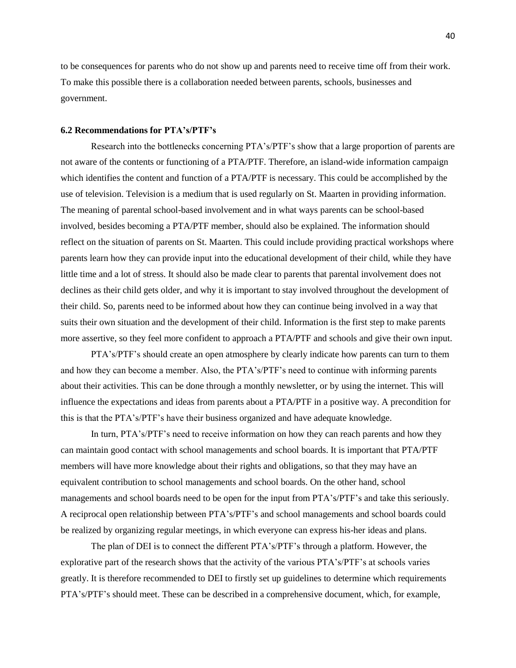to be consequences for parents who do not show up and parents need to receive time off from their work. To make this possible there is a collaboration needed between parents, schools, businesses and government.

# **6.2 Recommendations for PTA's/PTF's**

Research into the bottlenecks concerning PTA's/PTF's show that a large proportion of parents are not aware of the contents or functioning of a PTA/PTF. Therefore, an island-wide information campaign which identifies the content and function of a PTA/PTF is necessary. This could be accomplished by the use of television. Television is a medium that is used regularly on St. Maarten in providing information. The meaning of parental school-based involvement and in what ways parents can be school-based involved, besides becoming a PTA/PTF member, should also be explained. The information should reflect on the situation of parents on St. Maarten. This could include providing practical workshops where parents learn how they can provide input into the educational development of their child, while they have little time and a lot of stress. It should also be made clear to parents that parental involvement does not declines as their child gets older, and why it is important to stay involved throughout the development of their child. So, parents need to be informed about how they can continue being involved in a way that suits their own situation and the development of their child. Information is the first step to make parents more assertive, so they feel more confident to approach a PTA/PTF and schools and give their own input.

PTA's/PTF's should create an open atmosphere by clearly indicate how parents can turn to them and how they can become a member. Also, the PTA's/PTF's need to continue with informing parents about their activities. This can be done through a monthly newsletter, or by using the internet. This will influence the expectations and ideas from parents about a PTA/PTF in a positive way. A precondition for this is that the PTA's/PTF's have their business organized and have adequate knowledge.

In turn, PTA's/PTF's need to receive information on how they can reach parents and how they can maintain good contact with school managements and school boards. It is important that PTA/PTF members will have more knowledge about their rights and obligations, so that they may have an equivalent contribution to school managements and school boards. On the other hand, school managements and school boards need to be open for the input from PTA's/PTF's and take this seriously. A reciprocal open relationship between PTA's/PTF's and school managements and school boards could be realized by organizing regular meetings, in which everyone can express his-her ideas and plans.

The plan of DEI is to connect the different PTA's/PTF's through a platform. However, the explorative part of the research shows that the activity of the various PTA's/PTF's at schools varies greatly. It is therefore recommended to DEI to firstly set up guidelines to determine which requirements PTA's/PTF's should meet. These can be described in a comprehensive document, which, for example,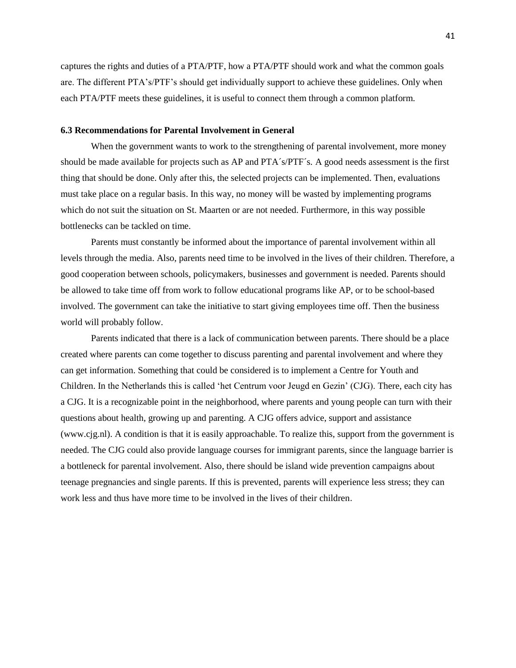captures the rights and duties of a PTA/PTF, how a PTA/PTF should work and what the common goals are. The different PTA's/PTF's should get individually support to achieve these guidelines. Only when each PTA/PTF meets these guidelines, it is useful to connect them through a common platform.

# **6.3 Recommendations for Parental Involvement in General**

When the government wants to work to the strengthening of parental involvement, more money should be made available for projects such as AP and PTA´s/PTF´s. A good needs assessment is the first thing that should be done. Only after this, the selected projects can be implemented. Then, evaluations must take place on a regular basis. In this way, no money will be wasted by implementing programs which do not suit the situation on St. Maarten or are not needed. Furthermore, in this way possible bottlenecks can be tackled on time.

Parents must constantly be informed about the importance of parental involvement within all levels through the media. Also, parents need time to be involved in the lives of their children. Therefore, a good cooperation between schools, policymakers, businesses and government is needed. Parents should be allowed to take time off from work to follow educational programs like AP, or to be school-based involved. The government can take the initiative to start giving employees time off. Then the business world will probably follow.

Parents indicated that there is a lack of communication between parents. There should be a place created where parents can come together to discuss parenting and parental involvement and where they can get information. Something that could be considered is to implement a Centre for Youth and Children. In the Netherlands this is called 'het Centrum voor Jeugd en Gezin' (CJG). There, each city has a CJG. It is a recognizable point in the neighborhood, where parents and young people can turn with their questions about health, growing up and parenting. A CJG offers advice, support and assistance (www.cjg.nl). A condition is that it is easily approachable. To realize this, support from the government is needed. The CJG could also provide language courses for immigrant parents, since the language barrier is a bottleneck for parental involvement. Also, there should be island wide prevention campaigns about teenage pregnancies and single parents. If this is prevented, parents will experience less stress; they can work less and thus have more time to be involved in the lives of their children.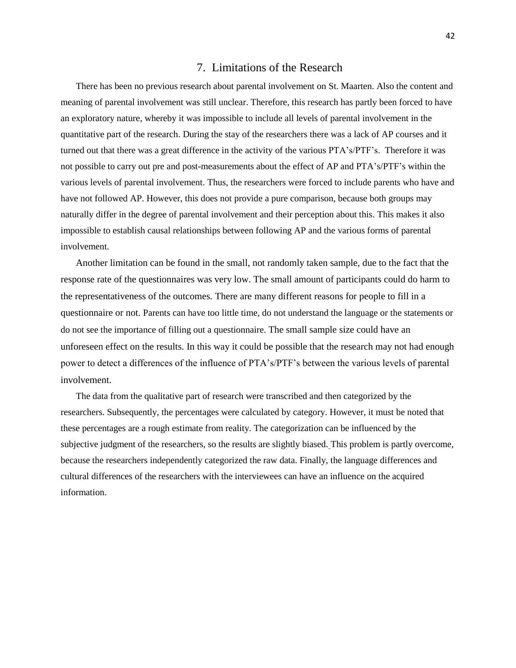# 7. Limitations of the Research

There has been no previous research about parental involvement on St. Maarten. Also the content and meaning of parental involvement was still unclear. Therefore, this research has partly been forced to have an exploratory nature, whereby it was impossible to include all levels of parental involvement in the quantitative part of the research. During the stay of the researchers there was a lack of AP courses and it turned out that there was a great difference in the activity of the various PTA's/PTF's. Therefore it was not possible to carry out pre and post-measurements about the effect of AP and PTA's/PTF's within the various levels of parental involvement. Thus, the researchers were forced to include parents who have and have not followed AP. However, this does not provide a pure comparison, because both groups may naturally differ in the degree of parental involvement and their perception about this. This makes it also impossible to establish causal relationships between following AP and the various forms of parental involvement.

Another limitation can be found in the small, not randomly taken sample, due to the fact that the response rate of the questionnaires was very low. The small amount of participants could do harm to the representativeness of the outcomes. There are many different reasons for people to fill in a questionnaire or not. Parents can have too little time, do not understand the language or the statements or do not see the importance of filling out a questionnaire. The small sample size could have an unforeseen effect on the results. In this way it could be possible that the research may not had enough power to detect a differences of the influence of PTA's/PTF's between the various levels of parental involvement.

The data from the qualitative part of research were transcribed and then categorized by the researchers. Subsequently, the percentages were calculated by category. However, it must be noted that these percentages are a rough estimate from reality. The categorization can be influenced by the subjective judgment of the researchers, so the results are slightly biased. This problem is partly overcome, because the researchers independently categorized the raw data. Finally, the language differences and cultural differences of the researchers with the interviewees can have an influence on the acquired information.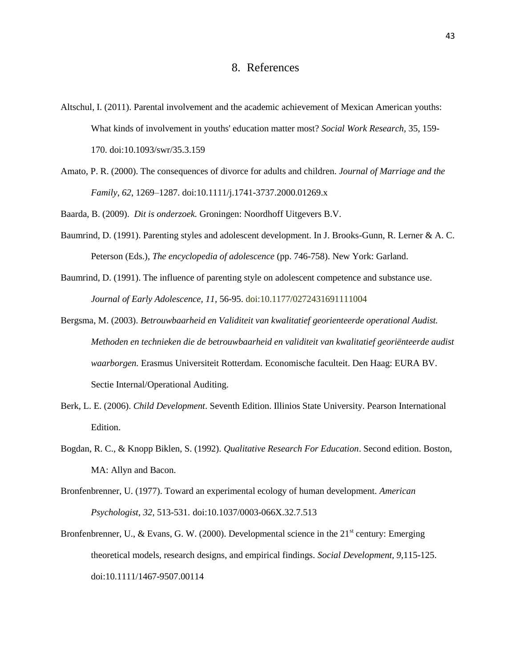- [Altschul, I.](javascript:registerClick() (2011). Parental involvement and the academic achievement of Mexican American youths: What kinds of involvement in youths' education matter most? *[Social Work Research,](javascript:registerClick()* 35, 159- 170. doi:10.1093/swr/35.3.159
- Amato, P. R. (2000). The consequences of divorce for adults and children. *Journal of Marriage and the Family*, *62*, 1269–1287. doi:10.1111/j.1741-3737.2000.01269.x

Baarda, B. (2009). *Dit is onderzoek.* Groningen: Noordhoff Uitgevers B.V.

- Baumrind, D. (1991). Parenting styles and adolescent development. In J. Brooks-Gunn, R. Lerner & A. C. Peterson (Eds.), *The encyclopedia of adolescence* (pp. 746-758). New York: Garland.
- Baumrind, D. (1991). The influence of parenting style on adolescent competence and substance use. *Journal of Early Adolescence, 11,* 56-95. doi:10.1177/0272431691111004
- Bergsma, M. (2003). *Betrouwbaarheid en Validiteit van kwalitatief georienteerde operational Audist. Methoden en technieken die de betrouwbaarheid en validiteit van kwalitatief georiënteerde audist waarborgen.* Erasmus Universiteit Rotterdam. Economische faculteit. Den Haag: EURA BV. Sectie Internal/Operational Auditing.
- Berk, L. E. (2006). *Child Development*. Seventh Edition. Illinios State University. Pearson International Edition.
- Bogdan, R. C., & Knopp Biklen, S. (1992). *Qualitative Research For Education*. Second edition. Boston, MA: Allyn and Bacon.
- Bronfenbrenner, U. (1977). Toward an experimental ecology of human development. *American Psychologist, 32*, 513-531. doi[:10.1037/0003-066X.32.7.513](http://psycnet.apa.org/doi/10.1037/0003-066X.32.7.513)
- Bronfenbrenner, U., & Evans, G. W. (2000). Developmental science in the  $21<sup>st</sup>$  century: Emerging theoretical models, research designs, and empirical findings. *Social Development, 9,*115-125. doi:10.1111/1467-9507.00114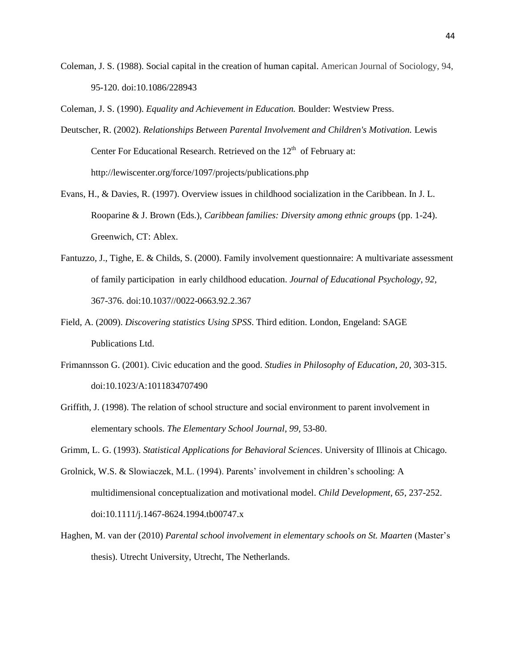Coleman, J. S. (1988). Social capital in the creation of human capital. American Journal of Sociology, 94, 95-120. doi[:10.1086/228943](http://dx.doi.org/10.1086/228943)

Coleman, J. S. (1990). *Equality and Achievement in Education.* Boulder: Westview Press.

- Deutscher, R. (2002). *Relationships Between Parental Involvement and Children's Motivation.* Lewis Center For Educational Research. Retrieved on the  $12<sup>th</sup>$  of February at: http://lewiscenter.org/force/1097/projects/publications.php
- Evans, H., & Davies, R. (1997). Overview issues in childhood socialization in the Caribbean. In J. L. Rooparine & J. Brown (Eds.), *Caribbean families: Diversity among ethnic groups* (pp. 1-24). Greenwich, CT: Ablex.
- Fantuzzo, J., Tighe, E. & Childs, S. (2000). Family involvement questionnaire: A multivariate assessment of family participation in early childhood education. *Journal of Educational Psychology, 92,* 367-376. doi:10.1037//0022-0663.92.2.367
- Field, A. (2009). *Discovering statistics Using SPSS*. Third edition. London, Engeland: SAGE Publications Ltd.
- Frimannsson G. (2001). Civic education and the good. *Studies in Philosophy of Education, 20*, 303-315. doi:10.1023/A:1011834707490
- Griffith, J. (1998). The relation of school structure and social environment to parent involvement in elementary schools. *The Elementary School Journal*, *99,* 53-80.

Grimm, L. G. (1993). *Statistical Applications for Behavioral Sciences*. University of Illinois at Chicago.

- Grolnick, W.S. & Slowiaczek, M.L. (1994). Parents' involvement in children's schooling: A multidimensional conceptualization and motivational model. *Child Development, 65*, 237-252. doi:10.1111/j.1467-8624.1994.tb00747.x
- [Haghen, M. van der](http://studenttheses.library.uu.nl/search.php?language=nl&m=advanced&n4=c&v4=) (2010) *Parental school involvement in elementary schools on St. Maarten* (Master's thesis). Utrecht University, Utrecht, The Netherlands.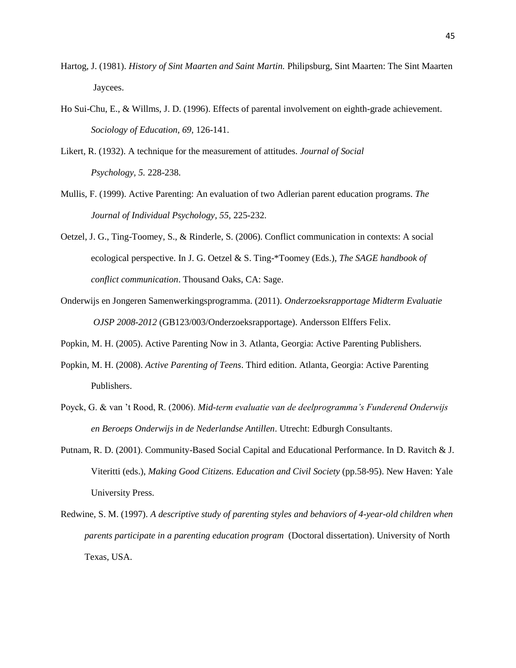- Hartog, J. (1981). *History of Sint Maarten and Saint Martin.* Philipsburg, Sint Maarten: The Sint Maarten Jaycees.
- Ho Sui-Chu, E., & Willms, J. D. (1996). Effects of parental involvement on eighth-grade achievement. *Sociology of Education, 69,* 126-141.
- Likert, R. (1932). A technique for the measurement of attitudes. *Journal of Social Psychology, 5.* 228-238.
- Mullis, F. (1999). Active Parenting: An evaluation of two Adlerian parent education programs. *The Journal of Individual Psychology, 55,* 225-232.
- Oetzel, J. G., Ting-Toomey, S., & Rinderle, S. (2006). Conflict communication in contexts: A social ecological perspective. In J. G. Oetzel & S. Ting-\*Toomey (Eds.), *The SAGE handbook of conflict communication*. Thousand Oaks, CA: Sage.
- Onderwijs en Jongeren Samenwerkingsprogramma. (2011). *Onderzoeksrapportage Midterm Evaluatie OJSP 2008-2012* (GB123/003/Onderzoeksrapportage). Andersson Elffers Felix.
- Popkin, M. H. (2005). Active Parenting Now in 3. Atlanta, Georgia: Active Parenting Publishers.
- Popkin, M. H. (2008). *Active Parenting of Teens*. Third edition. Atlanta, Georgia: Active Parenting Publishers.
- Poyck, G. & van 't Rood, R. (2006). *Mid-term evaluatie van de deelprogramma's Funderend Onderwijs en Beroeps Onderwijs in de Nederlandse Antillen*. Utrecht: Edburgh Consultants.
- Putnam, R. D. (2001). Community-Based Social Capital and Educational Performance. In D. Ravitch & J. Viteritti (eds.), *Making Good Citizens. Education and Civil Society* (pp.58-95). New Haven: Yale University Press.
- Redwine, S. M. (1997). *A descriptive study of parenting styles and behaviors of 4-year-old children when parents participate in a parenting education program* (Doctoral dissertation). University of North Texas, USA.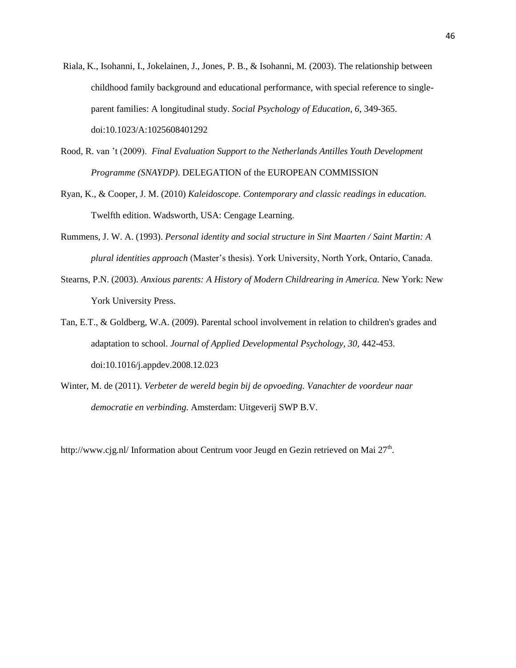- [Riala,](http://www.springerlink.com/content/?Author=Kaisa+Riala) K., [Isohanni,](http://www.springerlink.com/content/?Author=Irene+Isohanni) I., [Jokelainen,](http://www.springerlink.com/content/?Author=Jari+Jokelainen) J., [Jones,](http://www.springerlink.com/content/?Author=Peter+B.+Jones) P. B., & [Isohanni,](http://www.springerlink.com/content/?Author=Matti+Isohanni) M. (2003). The relationship between childhood family background and educational performance, with special reference to singleparent families: A longitudinal study. *[Social Psychology of Education,](javascript:registerClick() 6,* 349-365. doi:10.1023/A:1025608401292
- Rood, R. van 't (2009). *Final Evaluation Support to the Netherlands Antilles Youth Development Programme (SNAYDP)*. DELEGATION of the EUROPEAN COMMISSION
- Ryan, K., & Cooper, J. M. (2010) *Kaleidoscope. Contemporary and classic readings in education.* Twelfth edition. Wadsworth, USA: Cengage Learning.
- Rummens, J. W. A. (1993). *Personal identity and social structure in Sint Maarten / Saint Martin: A plural identities approach* (Master's thesis). York University, North York, Ontario, Canada.
- Stearns, P.N. (2003). *Anxious parents: A History of Modern Childrearing in America.* New York: New York University Press.
- [Tan, E.T.,](javascript:registerClick() & [Goldberg, W.A.](javascript:registerClick() (2009). Parental school involvement in relation to children's grades and adaptation to school. *[Journal of Applied Developmental Psychology,](javascript:registerClick() 30,* 442-453. doi[:10.1016/j.appdev.2008.12.023](http://dx.doi.org.proxy.library.uu.nl/10.1016/j.appdev.2008.12.023)
- Winter, M. de (2011). *Verbeter de wereld begin bij de opvoeding. Vanachter de voordeur naar democratie en verbinding.* Amsterdam: Uitgeverij SWP B.V.

http://www.cjg.nl/ Information about Centrum voor Jeugd en Gezin retrieved on Mai 27<sup>th</sup>.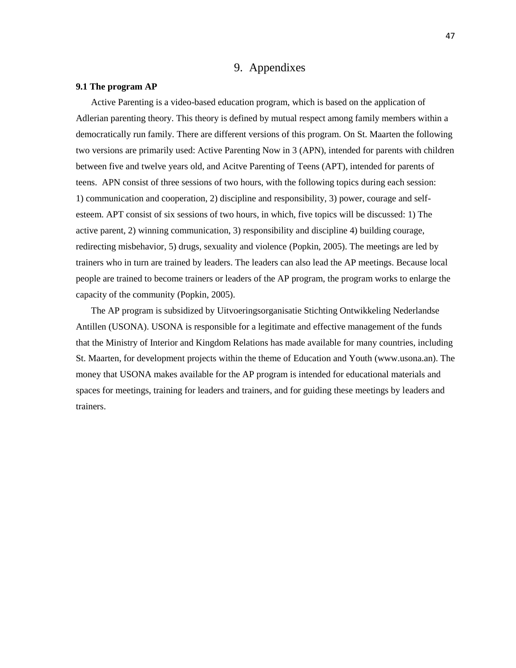# 9. Appendixes

### **9.1 The program AP**

Active Parenting is a video-based education program, which is based on the application of Adlerian parenting theory. This theory is defined by mutual respect among family members within a democratically run family. There are different versions of this program. On St. Maarten the following two versions are primarily used: Active Parenting Now in 3 (APN), intended for parents with children between five and twelve years old, and Acitve Parenting of Teens (APT), intended for parents of teens. APN consist of three sessions of two hours, with the following topics during each session: 1) communication and cooperation, 2) discipline and responsibility, 3) power, courage and selfesteem. APT consist of six sessions of two hours, in which, five topics will be discussed: 1) The active parent, 2) winning communication, 3) responsibility and discipline 4) building courage, redirecting misbehavior, 5) drugs, sexuality and violence (Popkin, 2005). The meetings are led by trainers who in turn are trained by leaders. The leaders can also lead the AP meetings. Because local people are trained to become trainers or leaders of the AP program, the program works to enlarge the capacity of the community (Popkin, 2005).

The AP program is subsidized by Uitvoeringsorganisatie Stichting Ontwikkeling Nederlandse Antillen (USONA). USONA is responsible for a legitimate and effective management of the funds that the Ministry of Interior and Kingdom Relations has made available for many countries, including St. Maarten, for development projects within the theme of Education and Youth (www.usona.an). The money that USONA makes available for the AP program is intended for educational materials and spaces for meetings, training for leaders and trainers, and for guiding these meetings by leaders and trainers.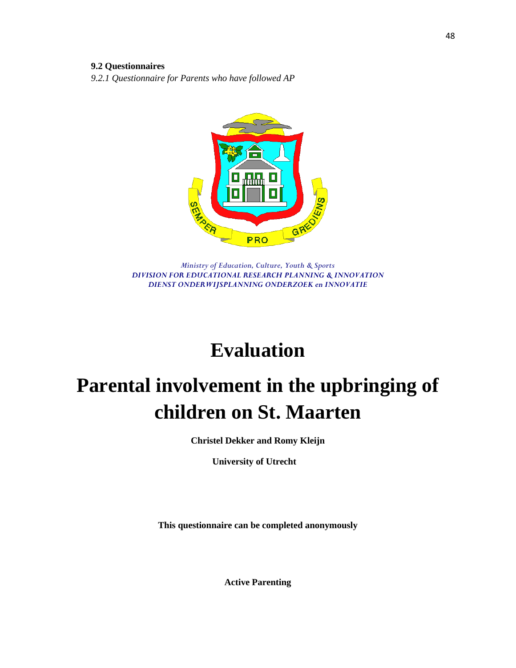# **9.2 Questionnaires**

*9.2.1 Questionnaire for Parents who have followed AP*



*Ministry of Education, Culture, Youth & Sports DIVISION FOR EDUCATIONAL RESEARCH PLANNING & INNOVATION DIENST ONDERWIJSPLANNING ONDERZOEK en INNOVATIE*

# **Evaluation**

# **Parental involvement in the upbringing of children on St. Maarten**

**Christel Dekker and Romy Kleijn**

**University of Utrecht**

**This questionnaire can be completed anonymously**

**Active Parenting**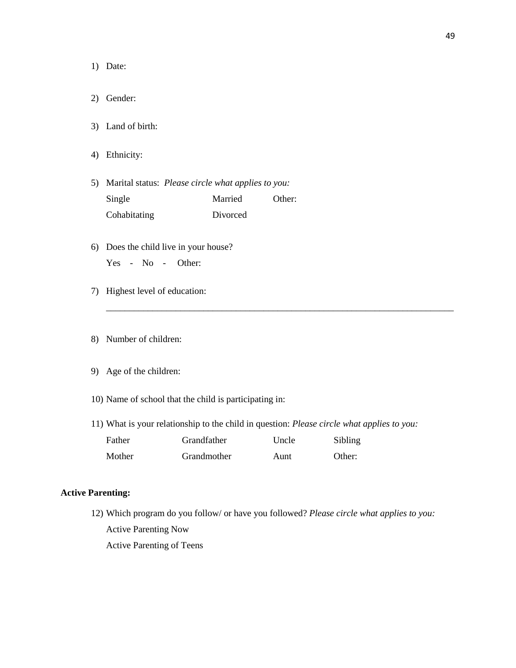1) Date:

- 2) Gender:
- 3) Land of birth:
- 4) Ethnicity:
- 5) Marital status:*Please circle what applies to you:* Single Married Other: Cohabitating Divorced
- 6) Does the child live in your house?
	- Yes No Other:
- 7) Highest level of education:
- 8) Number of children:
- 9) Age of the children:
- 10) Name of school that the child is participating in:
- 11) What is your relationship to the child in question: *Please circle what applies to you:*

\_\_\_\_\_\_\_\_\_\_\_\_\_\_\_\_\_\_\_\_\_\_\_\_\_\_\_\_\_\_\_\_\_\_\_\_\_\_\_\_\_\_\_\_\_\_\_\_\_\_\_\_\_\_\_\_\_\_\_\_\_\_\_\_\_\_\_\_\_\_\_\_\_\_\_

| Father | <b>Grandfather</b> | Uncle | Sibling |
|--------|--------------------|-------|---------|
| Mother | Grandmother        | Aunt  | Other:  |

# **Active Parenting:**

12) Which program do you follow/ or have you followed? *Please circle what applies to you:* Active Parenting Now Active Parenting of Teens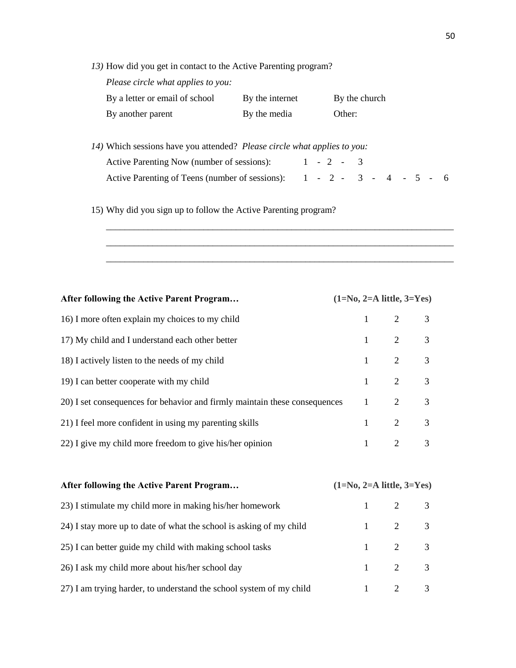*13)* How did you get in contact to the Active Parenting program?

*Please circle what applies to you:*

| By a letter or email of school | By the internet | By the church |
|--------------------------------|-----------------|---------------|
| By another parent              | By the media    | Other:        |

| 14) Which sessions have you attended? Please circle what applies to you: |  |  |  |  |  |  |
|--------------------------------------------------------------------------|--|--|--|--|--|--|
| Active Parenting Now (number of sessions): $1 - 2 - 3$                   |  |  |  |  |  |  |
| Active Parenting of Teens (number of sessions): $1 - 2 - 3 - 4 - 5 - 6$  |  |  |  |  |  |  |

\_\_\_\_\_\_\_\_\_\_\_\_\_\_\_\_\_\_\_\_\_\_\_\_\_\_\_\_\_\_\_\_\_\_\_\_\_\_\_\_\_\_\_\_\_\_\_\_\_\_\_\_\_\_\_\_\_\_\_\_\_\_\_\_\_\_\_\_\_\_\_\_\_\_\_ \_\_\_\_\_\_\_\_\_\_\_\_\_\_\_\_\_\_\_\_\_\_\_\_\_\_\_\_\_\_\_\_\_\_\_\_\_\_\_\_\_\_\_\_\_\_\_\_\_\_\_\_\_\_\_\_\_\_\_\_\_\_\_\_\_\_\_\_\_\_\_\_\_\_\_ \_\_\_\_\_\_\_\_\_\_\_\_\_\_\_\_\_\_\_\_\_\_\_\_\_\_\_\_\_\_\_\_\_\_\_\_\_\_\_\_\_\_\_\_\_\_\_\_\_\_\_\_\_\_\_\_\_\_\_\_\_\_\_\_\_\_\_\_\_\_\_\_\_\_\_

# 15) Why did you sign up to follow the Active Parenting program?

| After following the Active Parent Program                                          | $(1=N0, 2=A$ little, $3=Y$ es) |                       |  |
|------------------------------------------------------------------------------------|--------------------------------|-----------------------|--|
| 16) I more often explain my choices to my child                                    |                                | $1 \t2 \t3$           |  |
| 17) My child and I understand each other better                                    |                                | $1 \qquad 2 \qquad 3$ |  |
| 18) I actively listen to the needs of my child                                     |                                | $1 \qquad 2 \qquad 3$ |  |
| 19) I can better cooperate with my child                                           |                                | $1 \qquad 2 \qquad 3$ |  |
| 20) I set consequences for behavior and firmly maintain these consequences $1$ 2 3 |                                |                       |  |
| 21) I feel more confident in using my parenting skills                             |                                | $1 \t2 \t3$           |  |
| 22) I give my child more freedom to give his/her opinion                           |                                | $1 \qquad 2 \qquad 3$ |  |
|                                                                                    |                                |                       |  |

| After following the Active Parent Program                           | $(1=N0, 2=A$ little, $3=Y$ es) |                       |  |
|---------------------------------------------------------------------|--------------------------------|-----------------------|--|
| 23) I stimulate my child more in making his/her homework            |                                | $1 \t2 \t3$           |  |
| 24) I stay more up to date of what the school is asking of my child |                                | $1 \qquad 2 \qquad 3$ |  |
| 25) I can better guide my child with making school tasks            |                                | $1 \t2 \t3$           |  |
| 26) I ask my child more about his/her school day                    |                                | $1 \qquad 2 \qquad 3$ |  |
| 27) I am trying harder, to understand the school system of my child |                                | $1 \t2 \t3$           |  |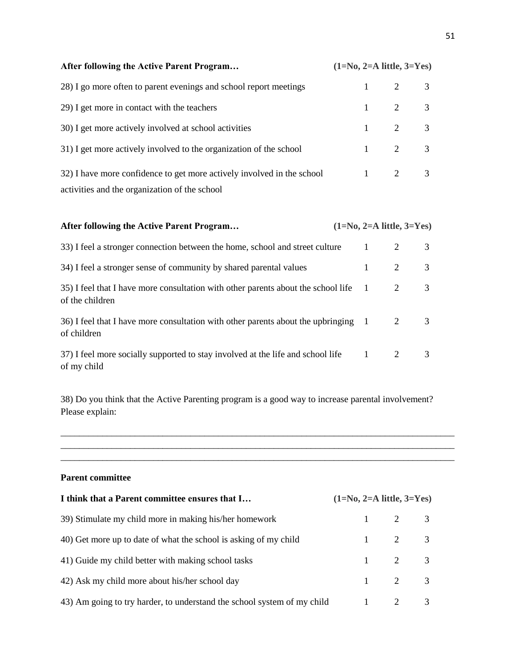| After following the Active Parent Program                              | $(1=N0, 2=A$ little, $3=Y$ es) |                       |  |
|------------------------------------------------------------------------|--------------------------------|-----------------------|--|
| 28) I go more often to parent evenings and school report meetings      |                                | $1 \t2 \t3$           |  |
| 29) I get more in contact with the teachers                            |                                | $1 \t2 \t3$           |  |
| 30) I get more actively involved at school activities                  |                                | $1 \qquad 2 \qquad 3$ |  |
| 31) I get more actively involved to the organization of the school     |                                | $1 \qquad 2 \qquad 3$ |  |
| 32) I have more confidence to get more actively involved in the school |                                | $1 \qquad 2 \qquad 3$ |  |
| activities and the organization of the school                          |                                |                       |  |

| After following the Active Parent Program                                                              | $(1=N0, 2=A$ little, $3=Yes$ ) |   |               |
|--------------------------------------------------------------------------------------------------------|--------------------------------|---|---------------|
| 33) I feel a stronger connection between the home, school and street culture                           | $\mathbf{1}$                   |   | 3             |
| 34) I feel a stronger sense of community by shared parental values                                     | $1 \quad$                      | 2 | 3             |
| 35) I feel that I have more consultation with other parents about the school life 1<br>of the children |                                | 2 | 3             |
| 36) I feel that I have more consultation with other parents about the upbringing 1<br>of children      |                                | 2 | $\mathcal{R}$ |
| 37) I feel more socially supported to stay involved at the life and school life 1<br>of my child       |                                | 2 | $\mathcal{R}$ |

38) Do you think that the Active Parenting program is a good way to increase parental involvement? Please explain:

\_\_\_\_\_\_\_\_\_\_\_\_\_\_\_\_\_\_\_\_\_\_\_\_\_\_\_\_\_\_\_\_\_\_\_\_\_\_\_\_\_\_\_\_\_\_\_\_\_\_\_\_\_\_\_\_\_\_\_\_\_\_\_\_\_\_\_\_\_\_\_\_\_\_\_\_\_\_\_\_\_\_\_\_\_

# **Parent committee**

| I think that a Parent committee ensures that I                          | $(1=N0, 2=A$ little, $3=Y$ es) |                       |                            |  |
|-------------------------------------------------------------------------|--------------------------------|-----------------------|----------------------------|--|
| 39) Stimulate my child more in making his/her homework                  |                                | $1 \qquad 2 \qquad 3$ |                            |  |
| 40) Get more up to date of what the school is asking of my child        |                                | $1 \qquad 2 \qquad 3$ |                            |  |
| 41) Guide my child better with making school tasks                      |                                | $1 \t2 \t3$           |                            |  |
| 42) Ask my child more about his/her school day                          |                                | $1 \qquad 2 \qquad 3$ |                            |  |
| 43) Am going to try harder, to understand the school system of my child |                                | $\overline{2}$        | $\overline{\phantom{a}}$ 3 |  |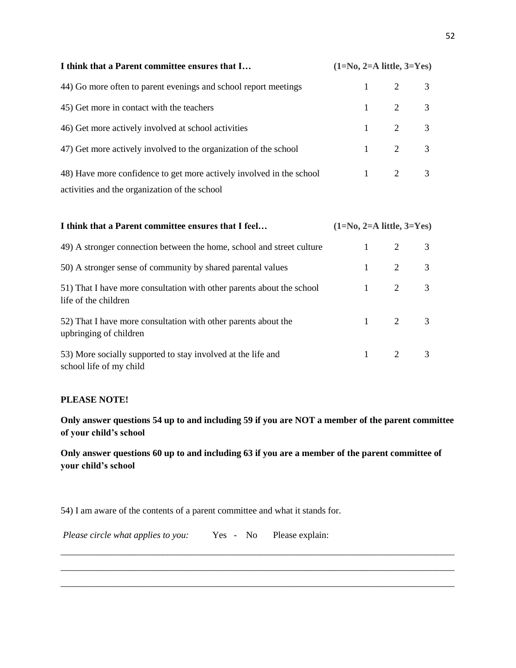| I think that a Parent committee ensures that I                       | $(1=N0, 2=A$ little, $3=Y$ es) |                       |  |
|----------------------------------------------------------------------|--------------------------------|-----------------------|--|
| 44) Go more often to parent evenings and school report meetings      |                                | $1 \t2 \t3$           |  |
| 45) Get more in contact with the teachers                            |                                | $1 \t2 \t3$           |  |
| 46) Get more actively involved at school activities                  |                                | $1 \qquad 2 \qquad 3$ |  |
| 47) Get more actively involved to the organization of the school     |                                | $1 \qquad 2 \qquad 3$ |  |
| 48) Have more confidence to get more actively involved in the school |                                | $1 \t2 \t3$           |  |
| activities and the organization of the school                        |                                |                       |  |

| I think that a Parent committee ensures that I feel                                           | $(1=N0, 2=A$ little, $3=Yes$ ) |                       |     |
|-----------------------------------------------------------------------------------------------|--------------------------------|-----------------------|-----|
| 49) A stronger connection between the home, school and street culture                         | $1 \quad \blacksquare$         |                       | 2 3 |
| 50) A stronger sense of community by shared parental values                                   |                                | $1 \qquad 2 \qquad 3$ |     |
| 51) That I have more consultation with other parents about the school<br>life of the children |                                | $1 \qquad 2 \qquad 3$ |     |
| 52) That I have more consultation with other parents about the<br>upbringing of children      |                                | $1 \qquad 2 \qquad 3$ |     |
| 53) More socially supported to stay involved at the life and<br>school life of my child       |                                | $1 \qquad 2 \qquad 3$ |     |

# **PLEASE NOTE!**

**Only answer questions 54 up to and including 59 if you are NOT a member of the parent committee of your child's school** 

**Only answer questions 60 up to and including 63 if you are a member of the parent committee of your child's school** 

\_\_\_\_\_\_\_\_\_\_\_\_\_\_\_\_\_\_\_\_\_\_\_\_\_\_\_\_\_\_\_\_\_\_\_\_\_\_\_\_\_\_\_\_\_\_\_\_\_\_\_\_\_\_\_\_\_\_\_\_\_\_\_\_\_\_\_\_\_\_\_\_\_\_\_\_\_\_\_\_\_\_\_\_\_ \_\_\_\_\_\_\_\_\_\_\_\_\_\_\_\_\_\_\_\_\_\_\_\_\_\_\_\_\_\_\_\_\_\_\_\_\_\_\_\_\_\_\_\_\_\_\_\_\_\_\_\_\_\_\_\_\_\_\_\_\_\_\_\_\_\_\_\_\_\_\_\_\_\_\_\_\_\_\_\_\_\_\_\_\_

\_\_\_\_\_\_\_\_\_\_\_\_\_\_\_\_\_\_\_\_\_\_\_\_\_\_\_\_\_\_\_\_\_\_\_\_\_\_\_\_\_\_\_\_\_\_\_\_\_\_\_\_\_\_\_\_\_\_\_\_\_\_\_\_\_\_\_\_\_\_\_\_\_\_\_\_\_\_\_\_\_\_\_\_\_

54) I am aware of the contents of a parent committee and what it stands for.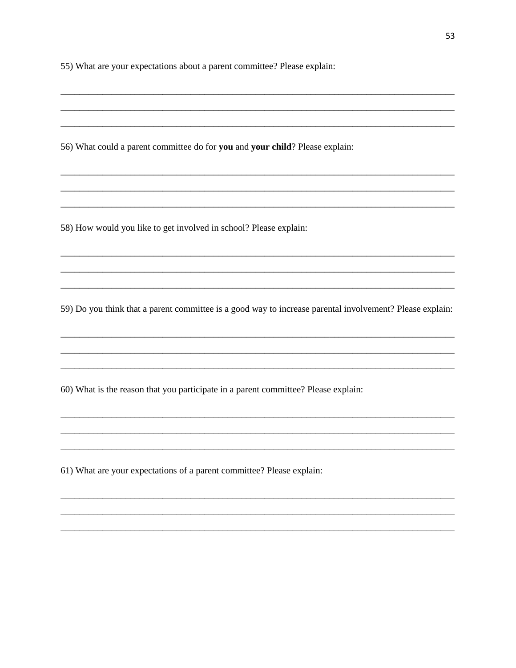55) What are your expectations about a parent committee? Please explain:

56) What could a parent committee do for you and your child? Please explain:

58) How would you like to get involved in school? Please explain:

59) Do you think that a parent committee is a good way to increase parental involvement? Please explain:

60) What is the reason that you participate in a parent committee? Please explain:

61) What are your expectations of a parent committee? Please explain: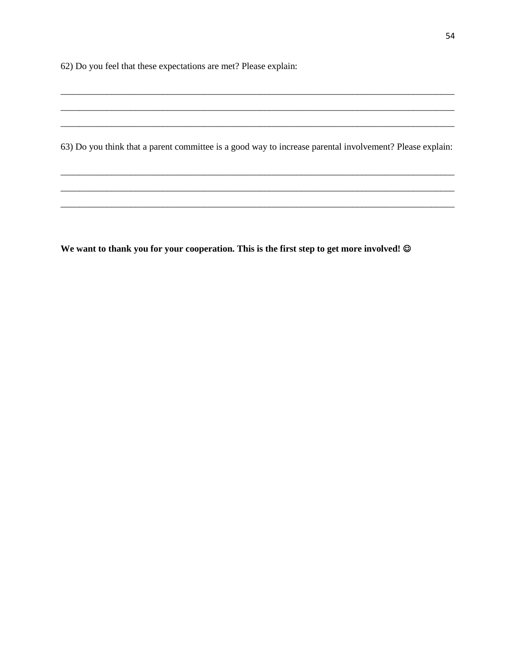62) Do you feel that these expectations are met? Please explain:

63) Do you think that a parent committee is a good way to increase parental involvement? Please explain:

We want to thank you for your cooperation. This is the first step to get more involved! ©

<u>and the state</u>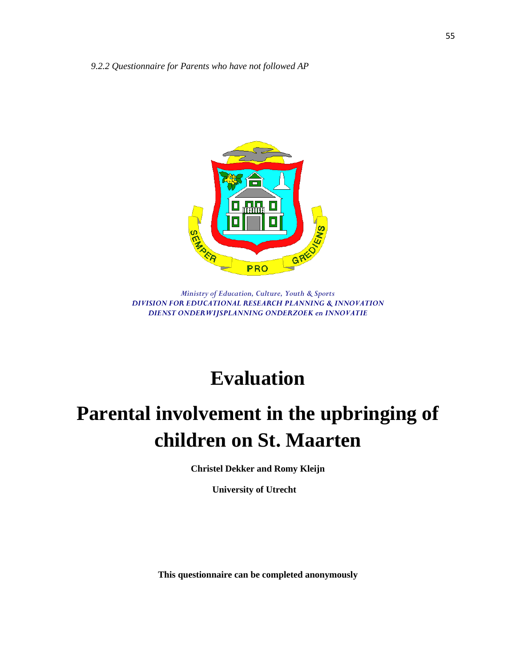

*Ministry of Education, Culture, Youth & Sports DIVISION FOR EDUCATIONAL RESEARCH PLANNING & INNOVATION DIENST ONDERWIJSPLANNING ONDERZOEK en INNOVATIE*

# **Evaluation**

# **Parental involvement in the upbringing of children on St. Maarten**

**Christel Dekker and Romy Kleijn**

**University of Utrecht**

**This questionnaire can be completed anonymously**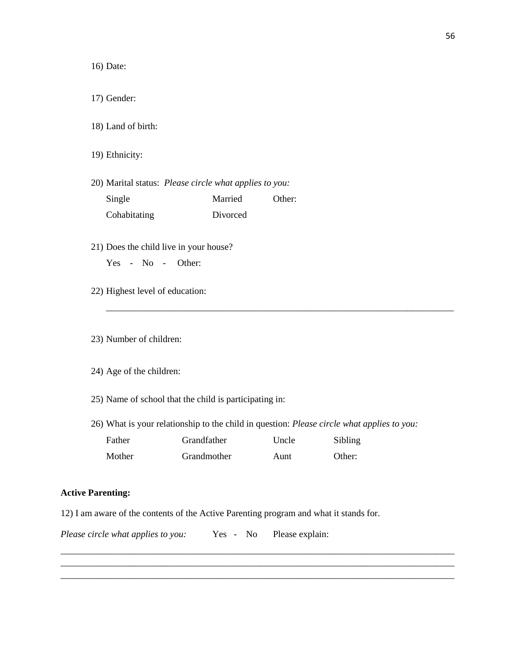16) Date:

17) Gender:

18) Land of birth:

19) Ethnicity:

- 20) Marital status:*Please circle what applies to you:* Single Married Other: Cohabitating Divorced
- 21) Does the child live in your house?

Yes - No - Other:

22) Highest level of education:

23) Number of children:

- 24) Age of the children:
- 25) Name of school that the child is participating in:
- 26) What is your relationship to the child in question: *Please circle what applies to you:*

\_\_\_\_\_\_\_\_\_\_\_\_\_\_\_\_\_\_\_\_\_\_\_\_\_\_\_\_\_\_\_\_\_\_\_\_\_\_\_\_\_\_\_\_\_\_\_\_\_\_\_\_\_\_\_\_\_\_\_\_\_\_\_\_\_\_\_\_\_\_\_\_\_\_\_\_\_\_\_\_\_\_\_\_\_ \_\_\_\_\_\_\_\_\_\_\_\_\_\_\_\_\_\_\_\_\_\_\_\_\_\_\_\_\_\_\_\_\_\_\_\_\_\_\_\_\_\_\_\_\_\_\_\_\_\_\_\_\_\_\_\_\_\_\_\_\_\_\_\_\_\_\_\_\_\_\_\_\_\_\_\_\_\_\_\_\_\_\_\_\_ \_\_\_\_\_\_\_\_\_\_\_\_\_\_\_\_\_\_\_\_\_\_\_\_\_\_\_\_\_\_\_\_\_\_\_\_\_\_\_\_\_\_\_\_\_\_\_\_\_\_\_\_\_\_\_\_\_\_\_\_\_\_\_\_\_\_\_\_\_\_\_\_\_\_\_\_\_\_\_\_\_\_\_\_\_

\_\_\_\_\_\_\_\_\_\_\_\_\_\_\_\_\_\_\_\_\_\_\_\_\_\_\_\_\_\_\_\_\_\_\_\_\_\_\_\_\_\_\_\_\_\_\_\_\_\_\_\_\_\_\_\_\_\_\_\_\_\_\_\_\_\_\_\_\_\_\_\_\_\_\_

| Father | <b>Grandfather</b> | Uncle | Sibling |
|--------|--------------------|-------|---------|
| Mother | Grandmother        | Aunt  | Other:  |

# **Active Parenting:**

12) I am aware of the contents of the Active Parenting program and what it stands for.

*Please circle what applies to you:* Yes - No Please explain: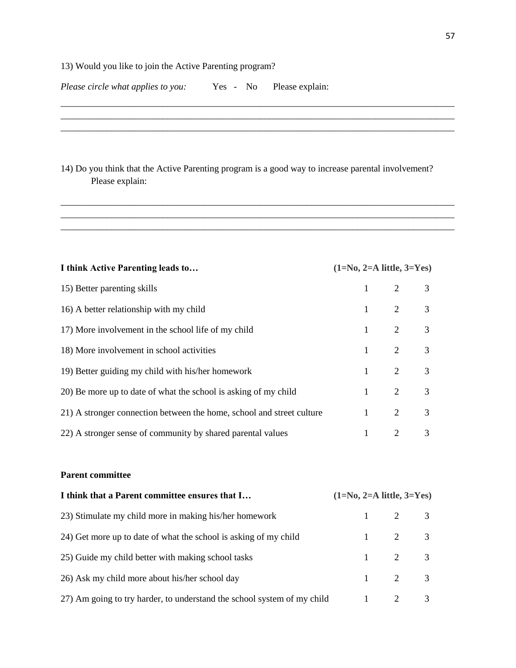# 13) Would you like to join the Active Parenting program?

|  | Please circle what applies to you: | $Yes -$ | No. | Please explain: |  |
|--|------------------------------------|---------|-----|-----------------|--|
|  |                                    |         |     |                 |  |

| 14) Do you think that the Active Parenting program is a good way to increase parental involvement?<br>Please explain: |  |
|-----------------------------------------------------------------------------------------------------------------------|--|

\_\_\_\_\_\_\_\_\_\_\_\_\_\_\_\_\_\_\_\_\_\_\_\_\_\_\_\_\_\_\_\_\_\_\_\_\_\_\_\_\_\_\_\_\_\_\_\_\_\_\_\_\_\_\_\_\_\_\_\_\_\_\_\_\_\_\_\_\_\_\_\_\_\_\_\_\_\_\_\_\_\_\_\_\_

 $\mathcal{L}_\mathcal{L} = \{ \mathcal{L}_\mathcal{L} = \{ \mathcal{L}_\mathcal{L} = \{ \mathcal{L}_\mathcal{L} = \{ \mathcal{L}_\mathcal{L} = \{ \mathcal{L}_\mathcal{L} = \{ \mathcal{L}_\mathcal{L} = \{ \mathcal{L}_\mathcal{L} = \{ \mathcal{L}_\mathcal{L} = \{ \mathcal{L}_\mathcal{L} = \{ \mathcal{L}_\mathcal{L} = \{ \mathcal{L}_\mathcal{L} = \{ \mathcal{L}_\mathcal{L} = \{ \mathcal{L}_\mathcal{L} = \{ \mathcal{L}_\mathcal{$ 

| I think Active Parenting leads to                                     | $(1=N0, 2=A$ little, $3=Y$ es) |                       |                |
|-----------------------------------------------------------------------|--------------------------------|-----------------------|----------------|
| 15) Better parenting skills                                           |                                | $1 \qquad 2$          | $\overline{3}$ |
| 16) A better relationship with my child                               |                                | $1 \qquad 2 \qquad 3$ |                |
| 17) More involvement in the school life of my child                   |                                | $1 \qquad 2 \qquad 3$ |                |
| 18) More involvement in school activities                             |                                | $1 \qquad 2 \qquad 3$ |                |
| 19) Better guiding my child with his/her homework                     |                                | $1 \t 2 \t 3$         |                |
| 20) Be more up to date of what the school is asking of my child       |                                | $1 \t 2 \t 3$         |                |
| 21) A stronger connection between the home, school and street culture |                                | $1 \t2 \t3$           |                |
| 22) A stronger sense of community by shared parental values           | $\mathbf{1}$                   | $\overline{2}$        | 3              |

# **Parent committee**

| I think that a Parent committee ensures that I                          | $(1=N0, 2=A$ little, $3=Y$ es) |                       |  |
|-------------------------------------------------------------------------|--------------------------------|-----------------------|--|
| 23) Stimulate my child more in making his/her homework                  |                                | $1 \qquad 2 \qquad 3$ |  |
| 24) Get more up to date of what the school is asking of my child        |                                | $1 \t2 \t3$           |  |
| 25) Guide my child better with making school tasks                      |                                | $1 \qquad 2 \qquad 3$ |  |
| 26) Ask my child more about his/her school day                          |                                | $1 \t2 \t3$           |  |
| 27) Am going to try harder, to understand the school system of my child |                                | $1 \qquad 2 \qquad 3$ |  |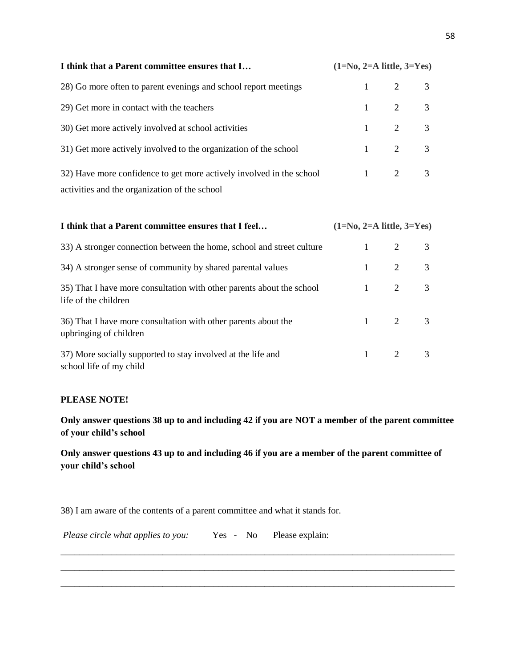| I think that a Parent committee ensures that I                       | $(1=N0, 2=A$ little, $3=Y$ es) |                       |  |
|----------------------------------------------------------------------|--------------------------------|-----------------------|--|
| 28) Go more often to parent evenings and school report meetings      |                                | $1 \t2 \t3$           |  |
| 29) Get more in contact with the teachers                            |                                | $1 \t2 \t3$           |  |
| 30) Get more actively involved at school activities                  |                                | $1 \t2 \t3$           |  |
| 31) Get more actively involved to the organization of the school     |                                | $1 \qquad 2 \qquad 3$ |  |
| 32) Have more confidence to get more actively involved in the school |                                | $1 \t2 \t3$           |  |
| activities and the organization of the school                        |                                |                       |  |

| I think that a Parent committee ensures that I feel                                           | $(1=N0, 2=A$ little, $3=Y$ es) |                       |   |
|-----------------------------------------------------------------------------------------------|--------------------------------|-----------------------|---|
| 33) A stronger connection between the home, school and street culture                         | $1 \quad \blacksquare$         | $\overline{2}$        | 3 |
| 34) A stronger sense of community by shared parental values                                   |                                | $1 \qquad 2 \qquad 3$ |   |
| 35) That I have more consultation with other parents about the school<br>life of the children |                                | $1 \t2 \t3$           |   |
| 36) That I have more consultation with other parents about the<br>upbringing of children      |                                | $1 \t2 \t3$           |   |
| 37) More socially supported to stay involved at the life and<br>school life of my child       |                                | $1 \quad 2 \quad 3$   |   |

# **PLEASE NOTE!**

**Only answer questions 38 up to and including 42 if you are NOT a member of the parent committee of your child's school** 

**Only answer questions 43 up to and including 46 if you are a member of the parent committee of your child's school** 

\_\_\_\_\_\_\_\_\_\_\_\_\_\_\_\_\_\_\_\_\_\_\_\_\_\_\_\_\_\_\_\_\_\_\_\_\_\_\_\_\_\_\_\_\_\_\_\_\_\_\_\_\_\_\_\_\_\_\_\_\_\_\_\_\_\_\_\_\_\_\_\_\_\_\_\_\_\_\_\_\_\_\_\_\_ \_\_\_\_\_\_\_\_\_\_\_\_\_\_\_\_\_\_\_\_\_\_\_\_\_\_\_\_\_\_\_\_\_\_\_\_\_\_\_\_\_\_\_\_\_\_\_\_\_\_\_\_\_\_\_\_\_\_\_\_\_\_\_\_\_\_\_\_\_\_\_\_\_\_\_\_\_\_\_\_\_\_\_\_\_

\_\_\_\_\_\_\_\_\_\_\_\_\_\_\_\_\_\_\_\_\_\_\_\_\_\_\_\_\_\_\_\_\_\_\_\_\_\_\_\_\_\_\_\_\_\_\_\_\_\_\_\_\_\_\_\_\_\_\_\_\_\_\_\_\_\_\_\_\_\_\_\_\_\_\_\_\_\_\_\_\_\_\_\_\_

38) I am aware of the contents of a parent committee and what it stands for.

| Please circle what applies to you: | Yes - No |  | Please explain: |
|------------------------------------|----------|--|-----------------|
|------------------------------------|----------|--|-----------------|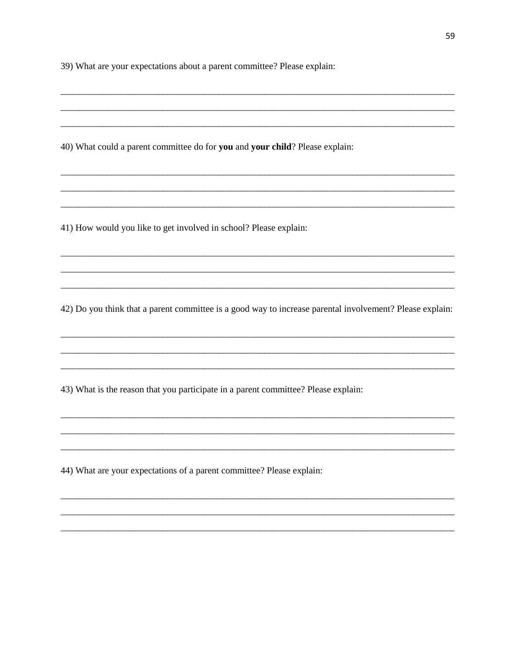39) What are your expectations about a parent committee? Please explain:

40) What could a parent committee do for you and your child? Please explain:

41) How would you like to get involved in school? Please explain:

42) Do you think that a parent committee is a good way to increase parental involvement? Please explain:

43) What is the reason that you participate in a parent committee? Please explain:

44) What are your expectations of a parent committee? Please explain: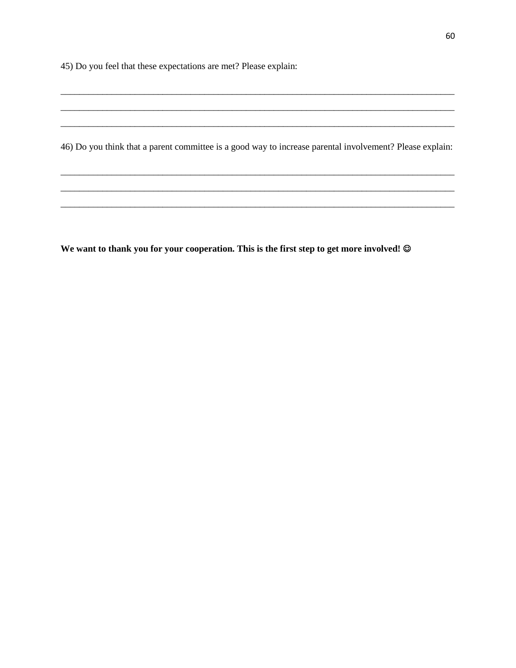45) Do you feel that these expectations are met? Please explain:

46) Do you think that a parent committee is a good way to increase parental involvement? Please explain:

We want to thank you for your cooperation. This is the first step to get more involved! ©

<u> 1990 - Jan Jawa</u>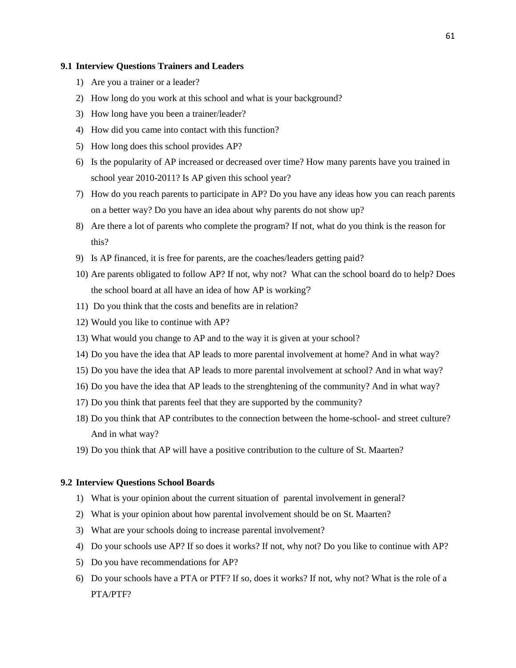### **9.1 Interview Questions Trainers and Leaders**

- 1) Are you a trainer or a leader?
- 2) How long do you work at this school and what is your background?
- 3) How long have you been a trainer/leader?
- 4) How did you came into contact with this function?
- 5) How long does this school provides AP?
- 6) Is the popularity of AP increased or decreased over time? How many parents have you trained in school year 2010-2011? Is AP given this school year?
- 7) How do you reach parents to participate in AP? Do you have any ideas how you can reach parents on a better way? Do you have an idea about why parents do not show up?
- 8) Are there a lot of parents who complete the program? If not, what do you think is the reason for this?
- 9) Is AP financed, it is free for parents, are the coaches/leaders getting paid?
- 10) Are parents obligated to follow AP? If not, why not? What can the school board do to help? Does the school board at all have an idea of how AP is working?
- 11) Do you think that the costs and benefits are in relation?
- 12) Would you like to continue with AP?
- 13) What would you change to AP and to the way it is given at your school?
- 14) Do you have the idea that AP leads to more parental involvement at home? And in what way?
- 15) Do you have the idea that AP leads to more parental involvement at school? And in what way?
- 16) Do you have the idea that AP leads to the strenghtening of the community? And in what way?
- 17) Do you think that parents feel that they are supported by the community?
- 18) Do you think that AP contributes to the connection between the home-school- and street culture? And in what way?
- 19) Do you think that AP will have a positive contribution to the culture of St. Maarten?

### **9.2 Interview Questions School Boards**

- 1) What is your opinion about the current situation of parental involvement in general?
- 2) What is your opinion about how parental involvement should be on St. Maarten?
- 3) What are your schools doing to increase parental involvement?
- 4) Do your schools use AP? If so does it works? If not, why not? Do you like to continue with AP?
- 5) Do you have recommendations for AP?
- 6) Do your schools have a PTA or PTF? If so, does it works? If not, why not? What is the role of a PTA/PTF?